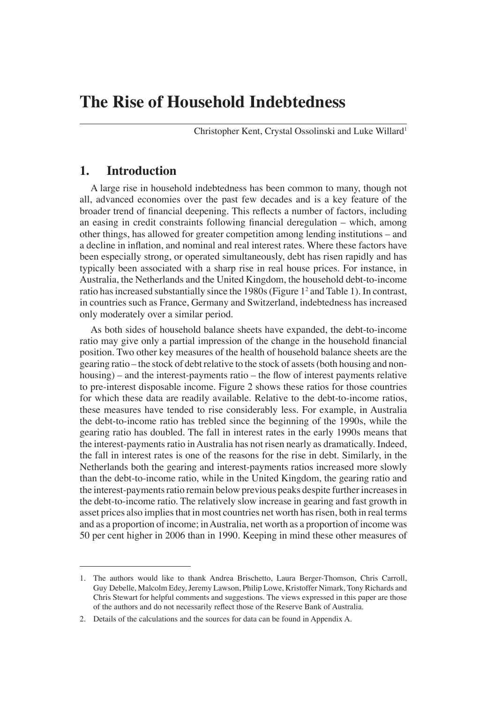# **The Rise of Household Indebtedness**

Christopher Kent, Crystal Ossolinski and Luke Willard<sup>1</sup>

### **1. Introduction**

A large rise in household indebtedness has been common to many, though not all, advanced economies over the past few decades and is a key feature of the broader trend of financial deepening. This reflects a number of factors, including an easing in credit constraints following financial deregulation – which, among other things, has allowed for greater competition among lending institutions – and a decline in inflation, and nominal and real interest rates. Where these factors have been especially strong, or operated simultaneously, debt has risen rapidly and has typically been associated with a sharp rise in real house prices. For instance, in Australia, the Netherlands and the United Kingdom, the household debt-to-income ratio has increased substantially since the 1980s (Figure 12 and Table 1). In contrast, in countries such as France, Germany and Switzerland, indebtedness has increased only moderately over a similar period.

As both sides of household balance sheets have expanded, the debt-to-income ratio may give only a partial impression of the change in the household financial position. Two other key measures of the health of household balance sheets are the gearing ratio – the stock of debt relative to the stock of assets (both housing and non $housing$ ) – and the interest-payments ratio – the flow of interest payments relative to pre-interest disposable income. Figure 2 shows these ratios for those countries for which these data are readily available. Relative to the debt-to-income ratios, these measures have tended to rise considerably less. For example, in Australia the debt-to-income ratio has trebled since the beginning of the 1990s, while the gearing ratio has doubled. The fall in interest rates in the early 1990s means that the interest-payments ratio in Australia has not risen nearly as dramatically. Indeed, the fall in interest rates is one of the reasons for the rise in debt. Similarly, in the Netherlands both the gearing and interest-payments ratios increased more slowly than the debt-to-income ratio, while in the United Kingdom, the gearing ratio and the interest-payments ratio remain below previous peaks despite further increases in the debt-to-income ratio. The relatively slow increase in gearing and fast growth in asset prices also implies that in most countries net worth has risen, both in real terms and as a proportion of income; in Australia, net worth as a proportion of income was 50 per cent higher in 2006 than in 1990. Keeping in mind these other measures of

<sup>1.</sup> The authors would like to thank Andrea Brischetto, Laura Berger-Thomson, Chris Carroll, Guy Debelle, Malcolm Edey, Jeremy Lawson, Philip Lowe, Kristoffer Nimark, Tony Richards and Chris Stewart for helpful comments and suggestions. The views expressed in this paper are those of the authors and do not necessarily reflect those of the Reserve Bank of Australia.

<sup>2.</sup> Details of the calculations and the sources for data can be found in Appendix A.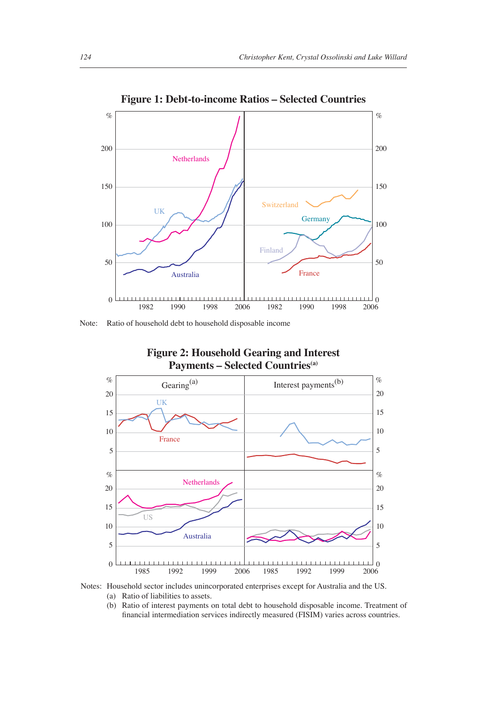

Note: Ratio of household debt to household disposable income



#### **Figure 2: Household Gearing and Interest Payments – Selected Countries(a)**

Notes: Household sector includes unincorporated enterprises except for Australia and the US.

(a) Ratio of liabilities to assets.

 (b) Ratio of interest payments on total debt to household disposable income. Treatment of financial intermediation services indirectly measured (FISIM) varies across countries.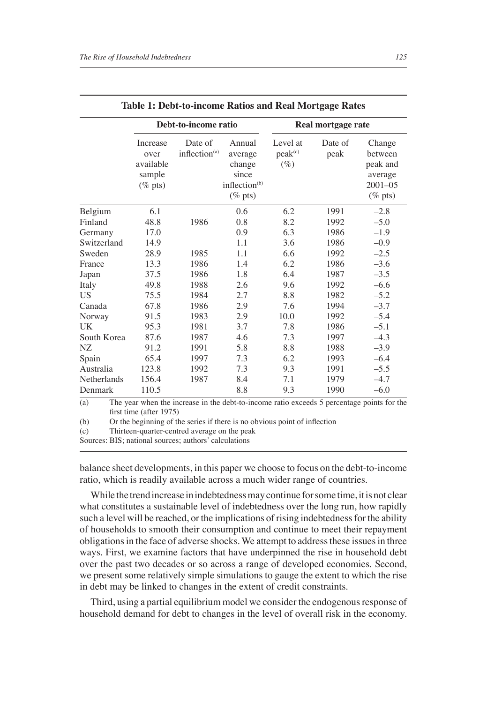|             |                                                       | Debt-to-income ratio        |                                                                                 |                                           | Real mortgage rate |                                                                       |
|-------------|-------------------------------------------------------|-----------------------------|---------------------------------------------------------------------------------|-------------------------------------------|--------------------|-----------------------------------------------------------------------|
|             | Increase<br>over<br>available<br>sample<br>$(\%$ pts) | Date of<br>inflection $(a)$ | Annual<br>average<br>change<br>since<br>inflection <sup>(b)</sup><br>$(\%$ pts) | Level at<br>peak <sup>(c)</sup><br>$(\%)$ | Date of<br>peak    | Change<br>between<br>peak and<br>average<br>$2001 - 05$<br>$(\%$ pts) |
| Belgium     | 6.1                                                   |                             | 0.6                                                                             | 6.2                                       | 1991               | $-2.8$                                                                |
| Finland     | 48.8                                                  | 1986                        | 0.8                                                                             | 8.2                                       | 1992               | $-5.0$                                                                |
| Germany     | 17.0                                                  |                             | 0.9                                                                             | 6.3                                       | 1986               | $-1.9$                                                                |
| Switzerland | 14.9                                                  |                             | 1.1                                                                             | 3.6                                       | 1986               | $-0.9$                                                                |
| Sweden      | 28.9                                                  | 1985                        | 1.1                                                                             | 6.6                                       | 1992               | $-2.5$                                                                |
| France      | 13.3                                                  | 1986                        | 1.4                                                                             | 6.2                                       | 1986               | $-3.6$                                                                |
| Japan       | 37.5                                                  | 1986                        | 1.8                                                                             | 6.4                                       | 1987               | $-3.5$                                                                |
| Italy       | 49.8                                                  | 1988                        | 2.6                                                                             | 9.6                                       | 1992               | $-6.6$                                                                |
| <b>US</b>   | 75.5                                                  | 1984                        | 2.7                                                                             | 8.8                                       | 1982               | $-5.2$                                                                |
| Canada      | 67.8                                                  | 1986                        | 2.9                                                                             | 7.6                                       | 1994               | $-3.7$                                                                |
| Norway      | 91.5                                                  | 1983                        | 2.9                                                                             | 10.0                                      | 1992               | $-5.4$                                                                |
| UK          | 95.3                                                  | 1981                        | 3.7                                                                             | 7.8                                       | 1986               | $-5.1$                                                                |
| South Korea | 87.6                                                  | 1987                        | 4.6                                                                             | 7.3                                       | 1997               | $-4.3$                                                                |
| NZ          | 91.2                                                  | 1991                        | 5.8                                                                             | 8.8                                       | 1988               | $-3.9$                                                                |
| Spain       | 65.4                                                  | 1997                        | 7.3                                                                             | 6.2                                       | 1993               | $-6.4$                                                                |
| Australia   | 123.8                                                 | 1992                        | 7.3                                                                             | 9.3                                       | 1991               | $-5.5$                                                                |
| Netherlands | 156.4                                                 | 1987                        | 8.4                                                                             | 7.1                                       | 1979               | $-4.7$                                                                |
| Denmark     | 110.5                                                 |                             | 8.8                                                                             | 9.3                                       | 1990               | $-6.0$                                                                |

|  |  |  |  |  |  |  | Table 1: Debt-to-income Ratios and Real Mortgage Rates |  |
|--|--|--|--|--|--|--|--------------------------------------------------------|--|
|--|--|--|--|--|--|--|--------------------------------------------------------|--|

(b) Or the beginning of the series if there is no obvious point of inflection  $(c)$  Thirteen-quarter-centred average on the peak Thirteen-quarter-centred average on the peak

Sources: BIS; national sources; authors' calculations

balance sheet developments, in this paper we choose to focus on the debt-to-income ratio, which is readily available across a much wider range of countries.

While the trend increase in indebtedness may continue for some time, it is not clear what constitutes a sustainable level of indebtedness over the long run, how rapidly such a level will be reached, or the implications of rising indebtedness for the ability of households to smooth their consumption and continue to meet their repayment obligations in the face of adverse shocks. We attempt to address these issues in three ways. First, we examine factors that have underpinned the rise in household debt over the past two decades or so across a range of developed economies. Second, we present some relatively simple simulations to gauge the extent to which the rise in debt may be linked to changes in the extent of credit constraints.

Third, using a partial equilibrium model we consider the endogenous response of household demand for debt to changes in the level of overall risk in the economy.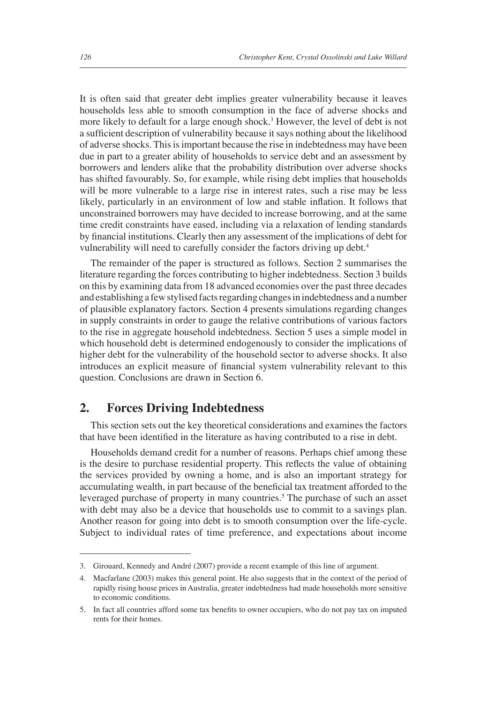It is often said that greater debt implies greater vulnerability because it leaves households less able to smooth consumption in the face of adverse shocks and more likely to default for a large enough shock.<sup>3</sup> However, the level of debt is not a sufficient description of vulnerability because it says nothing about the likelihood of adverse shocks. This is important because the rise in indebtedness may have been due in part to a greater ability of households to service debt and an assessment by borrowers and lenders alike that the probability distribution over adverse shocks has shifted favourably. So, for example, while rising debt implies that households will be more vulnerable to a large rise in interest rates, such a rise may be less likely, particularly in an environment of low and stable inflation. It follows that unconstrained borrowers may have decided to increase borrowing, and at the same time credit constraints have eased, including via a relaxation of lending standards by financial institutions. Clearly then any assessment of the implications of debt for vulnerability will need to carefully consider the factors driving up debt.<sup>4</sup>

The remainder of the paper is structured as follows. Section 2 summarises the literature regarding the forces contributing to higher indebtedness. Section 3 builds on this by examining data from 18 advanced economies over the past three decades and establishing a few stylised facts regarding changes in indebtedness and a number of plausible explanatory factors. Section 4 presents simulations regarding changes in supply constraints in order to gauge the relative contributions of various factors to the rise in aggregate household indebtedness. Section 5 uses a simple model in which household debt is determined endogenously to consider the implications of higher debt for the vulnerability of the household sector to adverse shocks. It also introduces an explicit measure of financial system vulnerability relevant to this question. Conclusions are drawn in Section 6.

## **2. Forces Driving Indebtedness**

This section sets out the key theoretical considerations and examines the factors that have been identified in the literature as having contributed to a rise in debt.

Households demand credit for a number of reasons. Perhaps chief among these is the desire to purchase residential property. This reflects the value of obtaining the services provided by owning a home, and is also an important strategy for accumulating wealth, in part because of the beneficial tax treatment afforded to the leveraged purchase of property in many countries.<sup>5</sup> The purchase of such an asset with debt may also be a device that households use to commit to a savings plan. Another reason for going into debt is to smooth consumption over the life-cycle. Subject to individual rates of time preference, and expectations about income

<sup>3.</sup> Girouard, Kennedy and André (2007) provide a recent example of this line of argument.

<sup>4.</sup> Macfarlane (2003) makes this general point. He also suggests that in the context of the period of rapidly rising house prices in Australia, greater indebtedness had made households more sensitive to economic conditions.

<sup>5.</sup> In fact all countries afford some tax benefits to owner occupiers, who do not pay tax on imputed rents for their homes.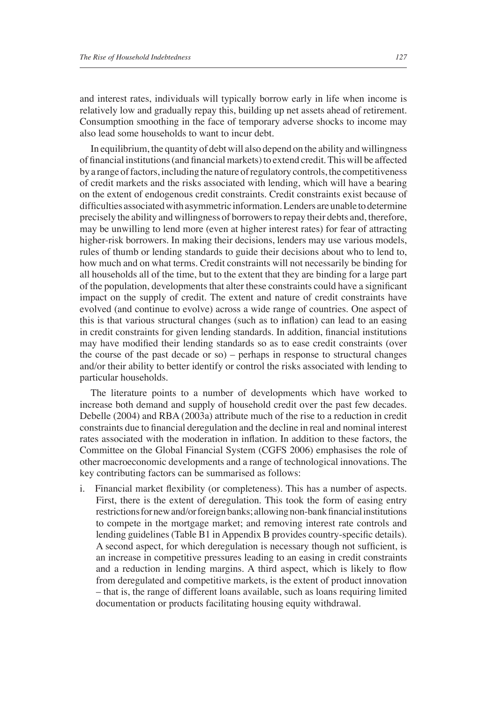and interest rates, individuals will typically borrow early in life when income is relatively low and gradually repay this, building up net assets ahead of retirement. Consumption smoothing in the face of temporary adverse shocks to income may also lead some households to want to incur debt.

In equilibrium, the quantity of debt will also depend on the ability and willingness of financial institutions (and financial markets) to extend credit. This will be affected by a range of factors, including the nature of regulatory controls, the competitiveness of credit markets and the risks associated with lending, which will have a bearing on the extent of endogenous credit constraints. Credit constraints exist because of difficulties associated with asymmetric information. Lenders are unable to determine precisely the ability and willingness of borrowers to repay their debts and, therefore, may be unwilling to lend more (even at higher interest rates) for fear of attracting higher-risk borrowers. In making their decisions, lenders may use various models, rules of thumb or lending standards to guide their decisions about who to lend to, how much and on what terms. Credit constraints will not necessarily be binding for all households all of the time, but to the extent that they are binding for a large part of the population, developments that alter these constraints could have a significant impact on the supply of credit. The extent and nature of credit constraints have evolved (and continue to evolve) across a wide range of countries. One aspect of this is that various structural changes (such as to inflation) can lead to an easing in credit constraints for given lending standards. In addition, financial institutions may have modified their lending standards so as to ease credit constraints (over the course of the past decade or so) – perhaps in response to structural changes and/or their ability to better identify or control the risks associated with lending to particular households.

The literature points to a number of developments which have worked to increase both demand and supply of household credit over the past few decades. Debelle (2004) and RBA (2003a) attribute much of the rise to a reduction in credit constraints due to financial deregulation and the decline in real and nominal interest rates associated with the moderation in inflation. In addition to these factors, the Committee on the Global Financial System (CGFS 2006) emphasises the role of other macroeconomic developments and a range of technological innovations. The key contributing factors can be summarised as follows:

i. Financial market flexibility (or completeness). This has a number of aspects. First, there is the extent of deregulation. This took the form of easing entry restrictions for new and/or foreign banks; allowing non-bank financial institutions to compete in the mortgage market; and removing interest rate controls and lending guidelines (Table B1 in Appendix B provides country-specific details). A second aspect, for which deregulation is necessary though not sufficient, is an increase in competitive pressures leading to an easing in credit constraints and a reduction in lending margins. A third aspect, which is likely to flow from deregulated and competitive markets, is the extent of product innovation – that is, the range of different loans available, such as loans requiring limited documentation or products facilitating housing equity withdrawal.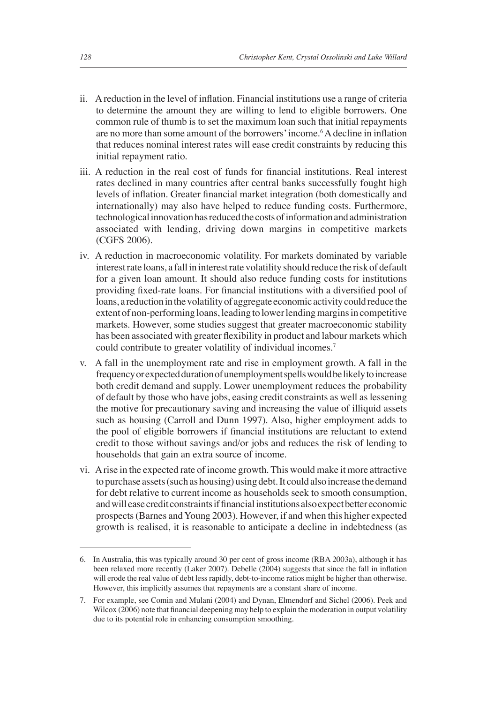- ii. A reduction in the level of inflation. Financial institutions use a range of criteria to determine the amount they are willing to lend to eligible borrowers. One common rule of thumb is to set the maximum loan such that initial repayments are no more than some amount of the borrowers' income.<sup>6</sup> A decline in inflation that reduces nominal interest rates will ease credit constraints by reducing this initial repayment ratio.
- iii. A reduction in the real cost of funds for financial institutions. Real interest rates declined in many countries after central banks successfully fought high levels of inflation. Greater financial market integration (both domestically and internationally) may also have helped to reduce funding costs. Furthermore, technological innovation has reduced the costs of information and administration associated with lending, driving down margins in competitive markets (CGFS 2006).
- iv. A reduction in macroeconomic volatility. For markets dominated by variable interest rate loans, a fall in interest rate volatility should reduce the risk of default for a given loan amount. It should also reduce funding costs for institutions providing fixed-rate loans. For financial institutions with a diversified pool of loans, a reduction in the volatility of aggregate economic activity could reduce the extent of non-performing loans, leading to lower lending margins in competitive markets. However, some studies suggest that greater macroeconomic stability has been associated with greater flexibility in product and labour markets which could contribute to greater volatility of individual incomes.<sup>7</sup>
- v. A fall in the unemployment rate and rise in employment growth. A fall in the frequency or expected duration of unemployment spells would be likely to increase both credit demand and supply. Lower unemployment reduces the probability of default by those who have jobs, easing credit constraints as well as lessening the motive for precautionary saving and increasing the value of illiquid assets such as housing (Carroll and Dunn 1997). Also, higher employment adds to the pool of eligible borrowers if financial institutions are reluctant to extend credit to those without savings and/or jobs and reduces the risk of lending to households that gain an extra source of income.
- vi. A rise in the expected rate of income growth. This would make it more attractive to purchase assets (such as housing) using debt. It could also increase the demand for debt relative to current income as households seek to smooth consumption, and will ease credit constraints if financial institutions also expect better economic prospects (Barnes and Young 2003). However, if and when this higher expected growth is realised, it is reasonable to anticipate a decline in indebtedness (as

<sup>6.</sup> In Australia, this was typically around 30 per cent of gross income (RBA 2003a), although it has been relaxed more recently (Laker 2007). Debelle (2004) suggests that since the fall in inflation will erode the real value of debt less rapidly, debt-to-income ratios might be higher than otherwise. However, this implicitly assumes that repayments are a constant share of income.

<sup>7.</sup> For example, see Comin and Mulani (2004) and Dynan, Elmendorf and Sichel (2006). Peek and Wilcox (2006) note that financial deepening may help to explain the moderation in output volatility due to its potential role in enhancing consumption smoothing.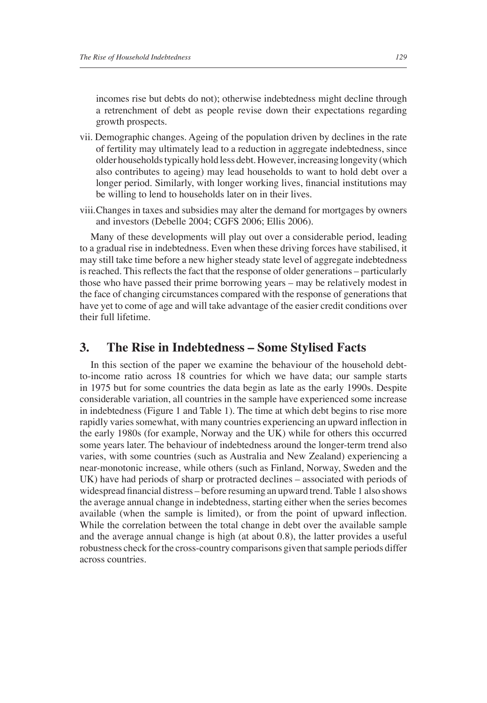incomes rise but debts do not); otherwise indebtedness might decline through a retrenchment of debt as people revise down their expectations regarding growth prospects.

- vii. Demographic changes. Ageing of the population driven by declines in the rate of fertility may ultimately lead to a reduction in aggregate indebtedness, since older households typically hold less debt. However, increasing longevity (which also contributes to ageing) may lead households to want to hold debt over a longer period. Similarly, with longer working lives, financial institutions may be willing to lend to households later on in their lives.
- viii. Changes in taxes and subsidies may alter the demand for mortgages by owners and investors (Debelle 2004; CGFS 2006; Ellis 2006).

Many of these developments will play out over a considerable period, leading to a gradual rise in indebtedness. Even when these driving forces have stabilised, it may still take time before a new higher steady state level of aggregate indebtedness is reached. This reflects the fact that the response of older generations – particularly those who have passed their prime borrowing years – may be relatively modest in the face of changing circumstances compared with the response of generations that have yet to come of age and will take advantage of the easier credit conditions over their full lifetime.

## **3. The Rise in Indebtedness – Some Stylised Facts**

In this section of the paper we examine the behaviour of the household debtto-income ratio across 18 countries for which we have data; our sample starts in 1975 but for some countries the data begin as late as the early 1990s. Despite considerable variation, all countries in the sample have experienced some increase in indebtedness (Figure 1 and Table 1). The time at which debt begins to rise more rapidly varies somewhat, with many countries experiencing an upward inflection in the early 1980s (for example, Norway and the UK) while for others this occurred some years later. The behaviour of indebtedness around the longer-term trend also varies, with some countries (such as Australia and New Zealand) experiencing a near-monotonic increase, while others (such as Finland, Norway, Sweden and the UK) have had periods of sharp or protracted declines – associated with periods of widespread financial distress – before resuming an upward trend. Table 1 also shows the average annual change in indebtedness, starting either when the series becomes available (when the sample is limited), or from the point of upward inflection. While the correlation between the total change in debt over the available sample and the average annual change is high (at about 0.8), the latter provides a useful robustness check for the cross-country comparisons given that sample periods differ across countries.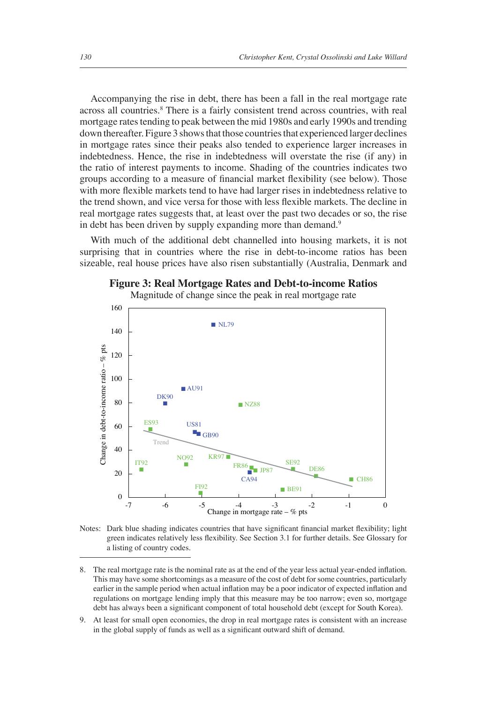Accompanying the rise in debt, there has been a fall in the real mortgage rate across all countries.<sup>8</sup> There is a fairly consistent trend across countries, with real mortgage rates tending to peak between the mid 1980s and early 1990s and trending down thereafter. Figure 3 shows that those countries that experienced larger declines in mortgage rates since their peaks also tended to experience larger increases in indebtedness. Hence, the rise in indebtedness will overstate the rise (if any) in the ratio of interest payments to income. Shading of the countries indicates two groups according to a measure of financial market flexibility (see below). Those with more flexible markets tend to have had larger rises in indebtedness relative to the trend shown, and vice versa for those with less flexible markets. The decline in real mortgage rates suggests that, at least over the past two decades or so, the rise in debt has been driven by supply expanding more than demand.<sup>9</sup>

With much of the additional debt channelled into housing markets, it is not surprising that in countries where the rise in debt-to-income ratios has been sizeable, real house prices have also risen substantially (Australia, Denmark and



Magnitude of change since the peak in real mortgage rate



Notes: Dark blue shading indicates countries that have significant financial market flexibility; light green indicates relatively less flexibility. See Section 3.1 for further details. See Glossary for a listing of country codes.

8. The real mortgage rate is the nominal rate as at the end of the year less actual year-ended inflation. This may have some shortcomings as a measure of the cost of debt for some countries, particularly earlier in the sample period when actual inflation may be a poor indicator of expected inflation and regulations on mortgage lending imply that this measure may be too narrow; even so, mortgage debt has always been a significant component of total household debt (except for South Korea).

9. At least for small open economies, the drop in real mortgage rates is consistent with an increase in the global supply of funds as well as a significant outward shift of demand.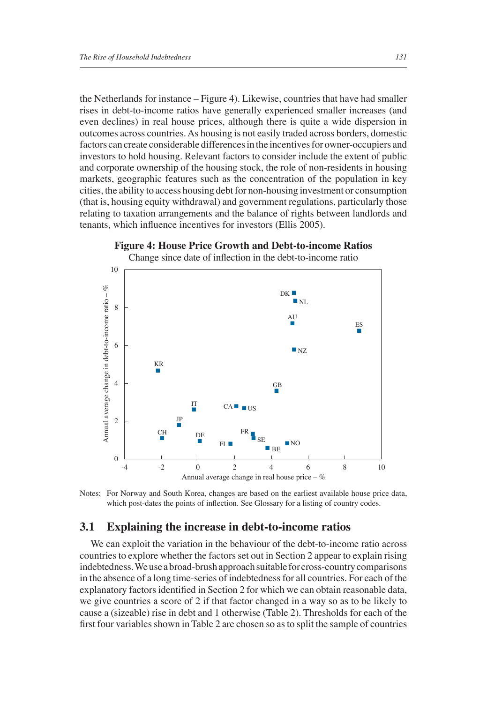the Netherlands for instance – Figure 4). Likewise, countries that have had smaller rises in debt-to-income ratios have generally experienced smaller increases (and even declines) in real house prices, although there is quite a wide dispersion in outcomes across countries. As housing is not easily traded across borders, domestic factors can create considerable differences in the incentives for owner-occupiers and investors to hold housing. Relevant factors to consider include the extent of public and corporate ownership of the housing stock, the role of non-residents in housing markets, geographic features such as the concentration of the population in key cities, the ability to access housing debt for non-housing investment or consumption (that is, housing equity withdrawal) and government regulations, particularly those relating to taxation arrangements and the balance of rights between landlords and tenants, which influence incentives for investors (Ellis 2005).



Notes: For Norway and South Korea, changes are based on the earliest available house price data, which post-dates the points of inflection. See Glossary for a listing of country codes.

#### **3.1 Explaining the increase in debt-to-income ratios**

We can exploit the variation in the behaviour of the debt-to-income ratio across countries to explore whether the factors set out in Section 2 appear to explain rising indebtedness. We use a broad-brush approach suitable for cross-country comparisons in the absence of a long time-series of indebtedness for all countries. For each of the explanatory factors identified in Section 2 for which we can obtain reasonable data, we give countries a score of 2 if that factor changed in a way so as to be likely to cause a (sizeable) rise in debt and 1 otherwise (Table 2). Thresholds for each of the first four variables shown in Table 2 are chosen so as to split the sample of countries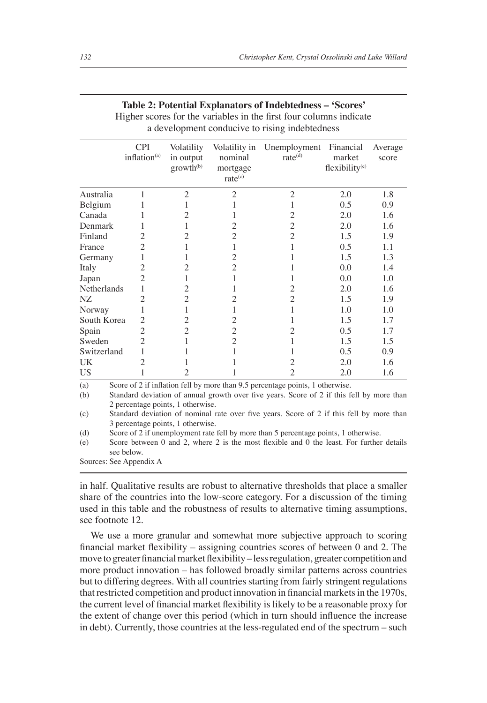|                      | <b>CPI</b><br>inflation $(a)$ | Volatility<br>in output<br>growth <sup>(b)</sup> | Volatility in<br>nominal<br>mortgage<br>rate <sup>(c)</sup> | Unemployment Financial<br>rate <sup>(d)</sup>                                                              | market<br>flexibility <sup>(e)</sup> | Average<br>score |
|----------------------|-------------------------------|--------------------------------------------------|-------------------------------------------------------------|------------------------------------------------------------------------------------------------------------|--------------------------------------|------------------|
| Australia            | 1                             | $\overline{c}$                                   | $\overline{2}$                                              | $\overline{c}$                                                                                             | 2.0                                  | 1.8              |
| Belgium              |                               |                                                  |                                                             |                                                                                                            | 0.5                                  | 0.9              |
| Canada               |                               | 2                                                |                                                             | 2                                                                                                          | 2.0                                  | 1.6              |
| Denmark              |                               |                                                  | 2                                                           | $\overline{c}$                                                                                             | 2.0                                  | 1.6              |
| Finland              | 2                             | 2                                                | $\overline{c}$                                              | $\overline{2}$                                                                                             | 1.5                                  | 1.9              |
| France               | 2                             |                                                  |                                                             |                                                                                                            | 0.5                                  | 1.1              |
| Germany              | 1                             |                                                  | $\overline{c}$                                              |                                                                                                            | 1.5                                  | 1.3              |
| Italy                | 2                             | 2                                                | $\overline{c}$                                              |                                                                                                            | 0.0                                  | 1.4              |
| Japan                | 2                             |                                                  |                                                             |                                                                                                            | 0.0                                  | 1.0              |
| Netherlands          |                               | 2                                                |                                                             | 2                                                                                                          | 2.0                                  | 1.6              |
| NZ                   | 2                             | $\overline{c}$                                   | 2                                                           | $\overline{c}$                                                                                             | 1.5                                  | 1.9              |
| Norway               | 1                             | 1                                                |                                                             |                                                                                                            | 1.0                                  | 1.0              |
| South Korea          | 2                             | 2                                                | 2                                                           |                                                                                                            | 1.5                                  | 1.7              |
| Spain                | 2                             | 2                                                | $\overline{2}$                                              | 2                                                                                                          | 0.5                                  | 1.7              |
| Sweden               | 2                             |                                                  | $\overline{c}$                                              |                                                                                                            | 1.5                                  | 1.5              |
| Switzerland          | 1                             |                                                  |                                                             |                                                                                                            | 0.5                                  | 0.9              |
| UK.                  | 2                             |                                                  |                                                             |                                                                                                            | 2.0                                  | 1.6              |
| <b>US</b>            |                               | $\overline{c}$                                   |                                                             | $\overline{c}$                                                                                             | 2.0                                  | 1.6              |
| (a)                  |                               |                                                  |                                                             | Score of 2 if inflation fell by more than 9.5 percentage points, 1 otherwise.                              |                                      |                  |
| (b)<br>$\sim$ $\sim$ |                               | 2 percentage points, 1 otherwise.                |                                                             | Standard deviation of annual growth over five years. Score of 2 if this fell by more than<br>$\sim$ $\sim$ |                                      |                  |

| Table 2: Potential Explanators of Indebtedness - 'Scores'          |  |
|--------------------------------------------------------------------|--|
| Higher scores for the variables in the first four columns indicate |  |

a development conducive to rising indebtedness

(c) Standard deviation of nominal rate over five years. Score of 2 if this fell by more than 3 percentage points, 1 otherwise.

(d) Score of 2 if unemployment rate fell by more than 5 percentage points, 1 otherwise.

(e) Score between  $0$  and  $2$ , where  $2$  is the most flexible and  $0$  the least. For further details see below.

Sources: See Appendix A

in half. Qualitative results are robust to alternative thresholds that place a smaller share of the countries into the low-score category. For a discussion of the timing used in this table and the robustness of results to alternative timing assumptions, see footnote 12.

We use a more granular and somewhat more subjective approach to scoring financial market flexibility – assigning countries scores of between  $0$  and  $2$ . The move to greater financial market flexibility – less regulation, greater competition and more product innovation – has followed broadly similar patterns across countries but to differing degrees. With all countries starting from fairly stringent regulations that restricted competition and product innovation in financial markets in the 1970s, the current level of financial market flexibility is likely to be a reasonable proxy for the extent of change over this period (which in turn should influence the increase in debt). Currently, those countries at the less-regulated end of the spectrum – such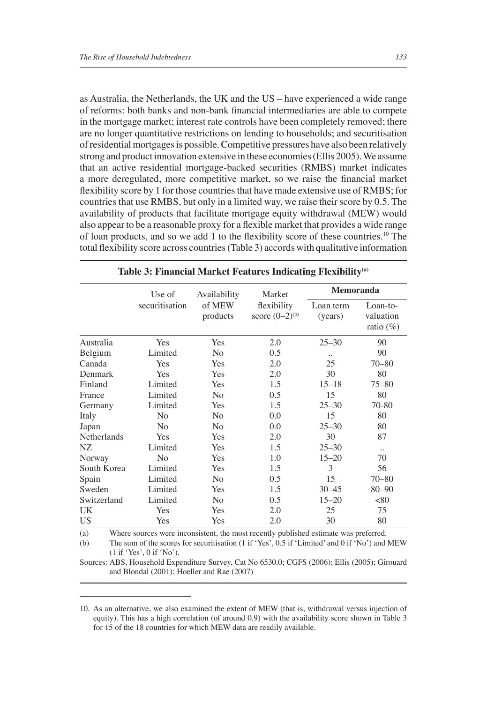as Australia, the Netherlands, the UK and the US – have experienced a wide range of reforms: both banks and non-bank financial intermediaries are able to compete in the mortgage market; interest rate controls have been completely removed; there are no longer quantitative restrictions on lending to households; and securitisation of residential mortgages is possible. Competitive pressures have also been relatively strong and product innovation extensive in these economies (Ellis 2005). We assume that an active residential mortgage-backed securities (RMBS) market indicates a more deregulated, more competitive market, so we raise the financial market flexibility score by 1 for those countries that have made extensive use of RMBS; for countries that use RMBS, but only in a limited way, we raise their score by 0.5. The availability of products that facilitate mortgage equity withdrawal (MEW) would also appear to be a reasonable proxy for a flexible market that provides a wide range of loan products, and so we add 1 to the flexibility score of these countries.<sup>10</sup> The

|             | Use of         | Availability   | Market                             | <b>Memoranda</b>     |                                       |  |
|-------------|----------------|----------------|------------------------------------|----------------------|---------------------------------------|--|
|             | securitisation |                | flexibility<br>score $(0-2)^{(b)}$ | Loan term<br>(years) | Loan-to-<br>valuation<br>ratio $(\%)$ |  |
| Australia   | Yes            | Yes            | 2.0                                | $25 - 30$            | 90                                    |  |
| Belgium     | Limited        | No             | 0.5                                |                      | 90                                    |  |
| Canada      | Yes            | Yes            | 2.0                                | 25                   | $70 - 80$                             |  |
| Denmark     | Yes            | Yes            | 2.0                                | 30                   | 80                                    |  |
| Finland     | Limited        | Yes            | 1.5                                | $15 - 18$            | $75 - 80$                             |  |
| France      | Limited        | N <sub>0</sub> | 0.5                                | 15                   | 80                                    |  |
| Germany     | Limited        | Yes            | 1.5                                | $25 - 30$            | 70-80                                 |  |
| Italy       | No             | No             | 0.0                                | 15                   | 80                                    |  |
| Japan       | N <sub>o</sub> | N <sub>o</sub> | 0.0                                | $25 - 30$            | 80                                    |  |
| Netherlands | Yes            | Yes            | 2.0                                | 30                   | 87                                    |  |
| NZ          | Limited        | Yes            | 1.5                                | $25 - 30$            | $\ddot{\phantom{a}}$                  |  |
| Norway      | N <sub>o</sub> | Yes            | 1.0                                | $15 - 20$            | 70                                    |  |
| South Korea | Limited        | Yes            | 1.5                                | 3                    | 56                                    |  |
| Spain       | Limited        | N <sub>o</sub> | 0.5                                | 15                   | $70 - 80$                             |  |
| Sweden      | Limited        | Yes            | 1.5                                | $30 - 45$            | $80 - 90$                             |  |
| Switzerland | Limited        | No             | 0.5                                | $15 - 20$            | < 80                                  |  |
| UK          | Yes            | Yes            | 2.0                                | 25                   | 75                                    |  |
| US          | Yes            | Yes            | 2.0                                | 30                   | 80                                    |  |

#### **Table 3: Financial Market Features Indicating Flexibility(a)**

total flexibility score across countries (Table 3) accords with qualitative information

(a) Where sources were inconsistent, the most recently published estimate was preferred.

Sources: ABS, Household Expenditure Survey, Cat No 6530.0; CGFS (2006); Ellis (2005); Girouard and Blondal (2001); Hoeller and Rae (2007)

<sup>(</sup>b) The sum of the scores for securitisation (1 if 'Yes', 0.5 if 'Limited' and 0 if 'No') and MEW (1 if 'Yes', 0 if 'No').

<sup>10.</sup> As an alternative, we also examined the extent of MEW (that is, withdrawal versus injection of equity). This has a high correlation (of around 0.9) with the availability score shown in Table 3 for 15 of the 18 countries for which MEW data are readily available.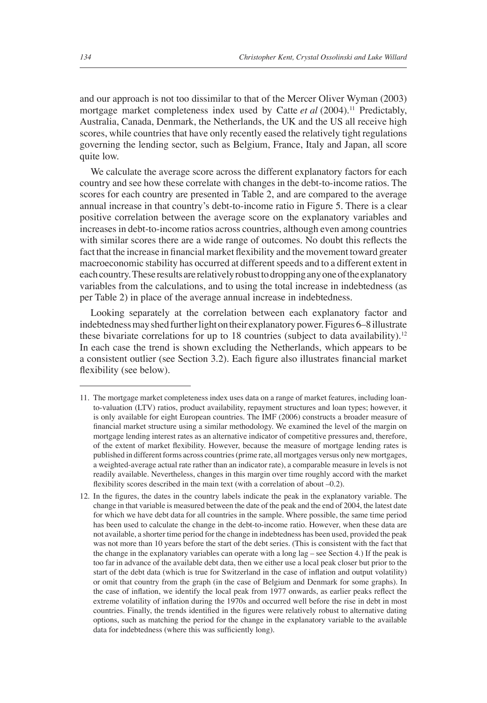and our approach is not too dissimilar to that of the Mercer Oliver Wyman (2003) mortgage market completeness index used by Catte et al (2004).<sup>11</sup> Predictably, Australia, Canada, Denmark, the Netherlands, the UK and the US all receive high scores, while countries that have only recently eased the relatively tight regulations governing the lending sector, such as Belgium, France, Italy and Japan, all score quite low.

We calculate the average score across the different explanatory factors for each country and see how these correlate with changes in the debt-to-income ratios. The scores for each country are presented in Table 2, and are compared to the average annual increase in that country's debt-to-income ratio in Figure 5. There is a clear positive correlation between the average score on the explanatory variables and increases in debt-to-income ratios across countries, although even among countries with similar scores there are a wide range of outcomes. No doubt this reflects the fact that the increase in financial market flexibility and the movement toward greater macroeconomic stability has occurred at different speeds and to a different extent in each country. These results are relatively robust to dropping any one of the explanatory variables from the calculations, and to using the total increase in indebtedness (as per Table 2) in place of the average annual increase in indebtedness.

Looking separately at the correlation between each explanatory factor and indebtedness may shed further light on their explanatory power. Figures 6–8 illustrate these bivariate correlations for up to 18 countries (subject to data availability).<sup>12</sup> In each case the trend is shown excluding the Netherlands, which appears to be a consistent outlier (see Section 3.2). Each figure also illustrates financial market flexibility (see below).

<sup>11.</sup> The mortgage market completeness index uses data on a range of market features, including loanto-valuation (LTV) ratios, product availability, repayment structures and loan types; however, it is only available for eight European countries. The IMF (2006) constructs a broader measure of financial market structure using a similar methodology. We examined the level of the margin on mortgage lending interest rates as an alternative indicator of competitive pressures and, therefore, of the extent of market flexibility. However, because the measure of mortgage lending rates is published in different forms across countries (prime rate, all mortgages versus only new mortgages, a weighted-average actual rate rather than an indicator rate), a comparable measure in levels is not readily available. Nevertheless, changes in this margin over time roughly accord with the market fl exibility scores described in the main text (with a correlation of about  $-0.2$ ).

<sup>12.</sup> In the figures, the dates in the country labels indicate the peak in the explanatory variable. The change in that variable is measured between the date of the peak and the end of 2004, the latest date for which we have debt data for all countries in the sample. Where possible, the same time period has been used to calculate the change in the debt-to-income ratio. However, when these data are not available, a shorter time period for the change in indebtedness has been used, provided the peak was not more than 10 years before the start of the debt series. (This is consistent with the fact that the change in the explanatory variables can operate with a long lag – see Section 4.) If the peak is too far in advance of the available debt data, then we either use a local peak closer but prior to the start of the debt data (which is true for Switzerland in the case of inflation and output volatility) or omit that country from the graph (in the case of Belgium and Denmark for some graphs). In the case of inflation, we identify the local peak from 1977 onwards, as earlier peaks reflect the extreme volatility of inflation during the 1970s and occurred well before the rise in debt in most countries. Finally, the trends identified in the figures were relatively robust to alternative dating options, such as matching the period for the change in the explanatory variable to the available data for indebtedness (where this was sufficiently long).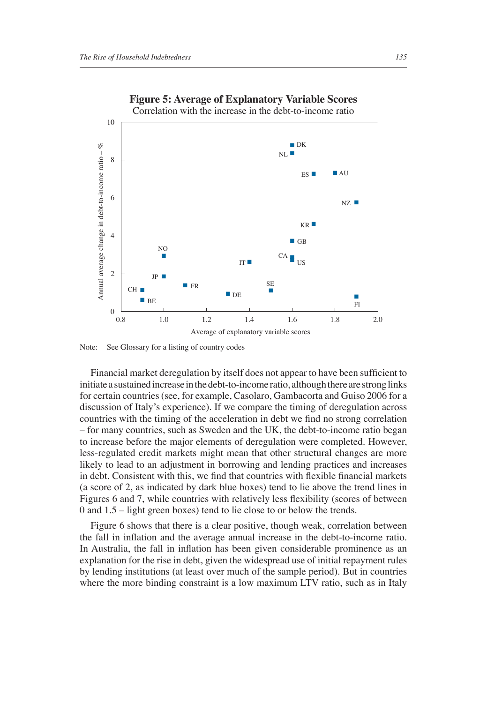

## **Figure 5: Average of Explanatory Variable Scores**

Note: See Glossary for a listing of country codes

Financial market deregulation by itself does not appear to have been sufficient to initiate a sustained increase in the debt-to-income ratio, although there are strong links for certain countries (see, for example, Casolaro, Gambacorta and Guiso 2006 for a discussion of Italy's experience). If we compare the timing of deregulation across countries with the timing of the acceleration in debt we find no strong correlation – for many countries, such as Sweden and the UK, the debt-to-income ratio began to increase before the major elements of deregulation were completed. However, less-regulated credit markets might mean that other structural changes are more likely to lead to an adjustment in borrowing and lending practices and increases in debt. Consistent with this, we find that countries with flexible financial markets (a score of 2, as indicated by dark blue boxes) tend to lie above the trend lines in Figures 6 and 7, while countries with relatively less flexibility (scores of between 0 and 1.5 – light green boxes) tend to lie close to or below the trends.

Figure 6 shows that there is a clear positive, though weak, correlation between the fall in inflation and the average annual increase in the debt-to-income ratio. In Australia, the fall in inflation has been given considerable prominence as an explanation for the rise in debt, given the widespread use of initial repayment rules by lending institutions (at least over much of the sample period). But in countries where the more binding constraint is a low maximum LTV ratio, such as in Italy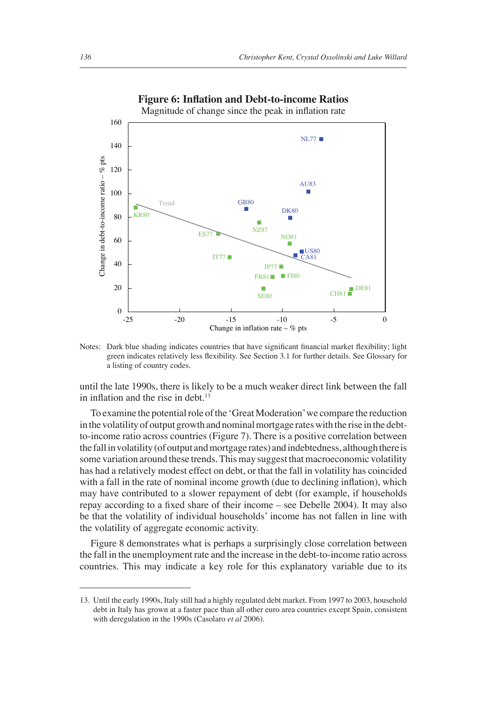

#### **Figure 6: Inflation and Debt-to-income Ratios**

Magnitude of change since the peak in inflation rate

Notes: Dark blue shading indicates countries that have significant financial market flexibility; light green indicates relatively less flexibility. See Section 3.1 for further details. See Glossary for a listing of country codes.

until the late 1990s, there is likely to be a much weaker direct link between the fall in inflation and the rise in debt. $13$ 

To examine the potential role of the 'Great Moderation' we compare the reduction in the volatility of output growth and nominal mortgage rates with the rise in the debtto-income ratio across countries (Figure 7). There is a positive correlation between the fall in volatility (of output and mortgage rates) and indebtedness, although there is some variation around these trends. This may suggest that macroeconomic volatility has had a relatively modest effect on debt, or that the fall in volatility has coincided with a fall in the rate of nominal income growth (due to declining inflation), which may have contributed to a slower repayment of debt (for example, if households repay according to a fixed share of their income – see Debelle 2004). It may also be that the volatility of individual households' income has not fallen in line with the volatility of aggregate economic activity.

Figure 8 demonstrates what is perhaps a surprisingly close correlation between the fall in the unemployment rate and the increase in the debt-to-income ratio across countries. This may indicate a key role for this explanatory variable due to its

<sup>13.</sup> Until the early 1990s, Italy still had a highly regulated debt market. From 1997 to 2003, household debt in Italy has grown at a faster pace than all other euro area countries except Spain, consistent with deregulation in the 1990s (Casolaro *et al* 2006).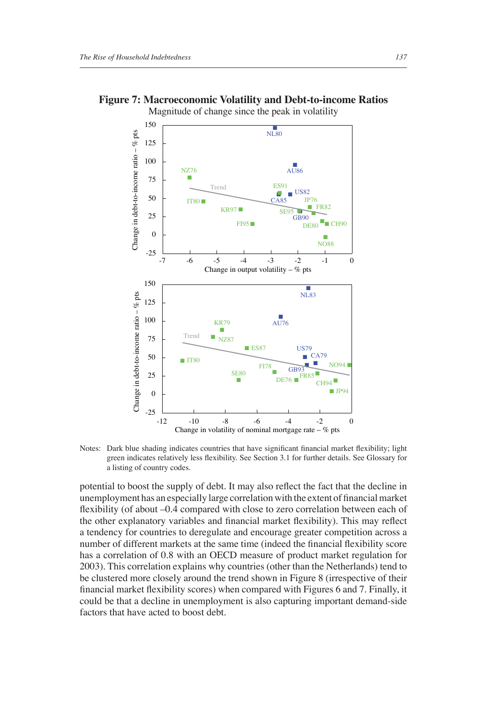Change in debt-to-income ratio  $-$  % pts

Change in debt-to-income ratio –  $%$  pts

-25



**Figure 7: Macroeconomic Volatility and Debt-to-income Ratios** Magnitude of change since the peak in volatility

Notes: Dark blue shading indicates countries that have significant financial market flexibility; light green indicates relatively less flexibility. See Section 3.1 for further details. See Glossary for a listing of country codes.

-12 -10 -8 -6 -4 -2 0

Change in volatility of nominal mortgage rate  $-$  % pts

potential to boost the supply of debt. It may also reflect the fact that the decline in unemployment has an especially large correlation with the extent of financial market flexibility (of about -0.4 compared with close to zero correlation between each of the other explanatory variables and financial market flexibility). This may reflect a tendency for countries to deregulate and encourage greater competition across a number of different markets at the same time (indeed the financial flexibility score has a correlation of 0.8 with an OECD measure of product market regulation for 2003). This correlation explains why countries (other than the Netherlands) tend to be clustered more closely around the trend shown in Figure 8 (irrespective of their financial market flexibility scores) when compared with Figures 6 and 7. Finally, it could be that a decline in unemployment is also capturing important demand-side factors that have acted to boost debt.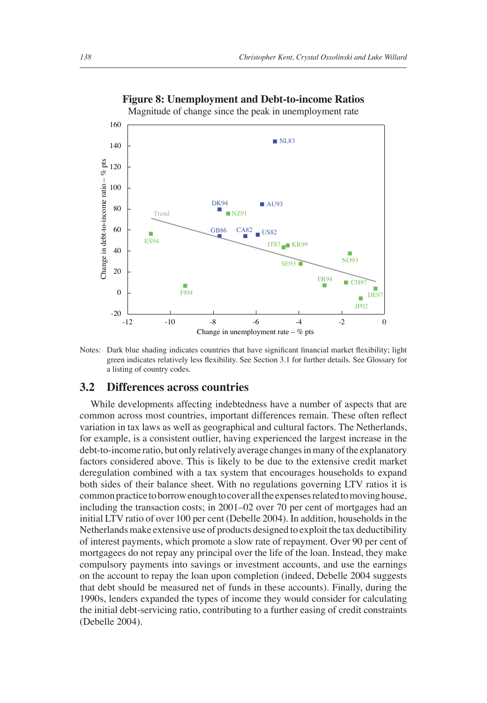

**Figure 8: Unemployment and Debt-to-income Ratios**

Magnitude of change since the peak in unemployment rate

Notes: Dark blue shading indicates countries that have significant financial market flexibility; light green indicates relatively less flexibility. See Section 3.1 for further details. See Glossary for a listing of country codes.

#### **3.2 Differences across countries**

While developments affecting indebtedness have a number of aspects that are common across most countries, important differences remain. These often reflect variation in tax laws as well as geographical and cultural factors. The Netherlands, for example, is a consistent outlier, having experienced the largest increase in the debt-to-income ratio, but only relatively average changes in many of the explanatory factors considered above. This is likely to be due to the extensive credit market deregulation combined with a tax system that encourages households to expand both sides of their balance sheet. With no regulations governing LTV ratios it is common practice to borrow enough to cover all the expenses related to moving house, including the transaction costs; in 2001–02 over 70 per cent of mortgages had an initial LTV ratio of over 100 per cent (Debelle 2004). In addition, households in the Netherlands make extensive use of products designed to exploit the tax deductibility of interest payments, which promote a slow rate of repayment. Over 90 per cent of mortgagees do not repay any principal over the life of the loan. Instead, they make compulsory payments into savings or investment accounts, and use the earnings on the account to repay the loan upon completion (indeed, Debelle 2004 suggests that debt should be measured net of funds in these accounts). Finally, during the 1990s, lenders expanded the types of income they would consider for calculating the initial debt-servicing ratio, contributing to a further easing of credit constraints (Debelle 2004).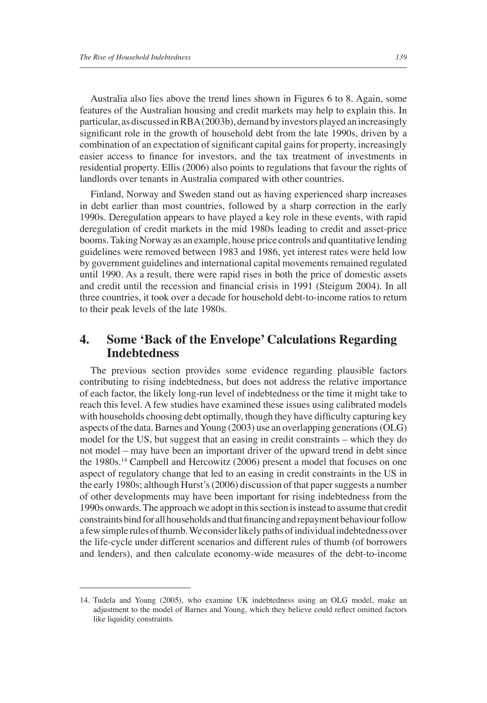Australia also lies above the trend lines shown in Figures 6 to 8. Again, some features of the Australian housing and credit markets may help to explain this. In particular, as discussed in RBA (2003b), demand by investors played an increasingly significant role in the growth of household debt from the late 1990s, driven by a combination of an expectation of significant capital gains for property, increasingly easier access to finance for investors, and the tax treatment of investments in residential property. Ellis (2006) also points to regulations that favour the rights of landlords over tenants in Australia compared with other countries.

Finland, Norway and Sweden stand out as having experienced sharp increases in debt earlier than most countries, followed by a sharp correction in the early 1990s. Deregulation appears to have played a key role in these events, with rapid deregulation of credit markets in the mid 1980s leading to credit and asset-price booms. Taking Norway as an example, house price controls and quantitative lending guidelines were removed between 1983 and 1986, yet interest rates were held low by government guidelines and international capital movements remained regulated until 1990. As a result, there were rapid rises in both the price of domestic assets and credit until the recession and financial crisis in 1991 (Steigum 2004). In all three countries, it took over a decade for household debt-to-income ratios to return to their peak levels of the late 1980s.

## **4. Some 'Back of the Envelope' Calculations Regarding Indebtedness**

The previous section provides some evidence regarding plausible factors contributing to rising indebtedness, but does not address the relative importance of each factor, the likely long-run level of indebtedness or the time it might take to reach this level. A few studies have examined these issues using calibrated models with households choosing debt optimally, though they have difficulty capturing key aspects of the data. Barnes and Young (2003) use an overlapping generations (OLG) model for the US, but suggest that an easing in credit constraints – which they do not model – may have been an important driver of the upward trend in debt since the 1980s.14 Campbell and Hercowitz (2006) present a model that focuses on one aspect of regulatory change that led to an easing in credit constraints in the US in the early 1980s; although Hurst's (2006) discussion of that paper suggests a number of other developments may have been important for rising indebtedness from the 1990s onwards. The approach we adopt in this section is instead to assume that credit constraints bind for all households and that financing and repayment behaviour follow a few simple rules of thumb. We consider likely paths of individual indebtedness over the life-cycle under different scenarios and different rules of thumb (of borrowers and lenders), and then calculate economy-wide measures of the debt-to-income

<sup>14.</sup> Tudela and Young (2005), who examine UK indebtedness using an OLG model, make an adjustment to the model of Barnes and Young, which they believe could reflect omitted factors like liquidity constraints.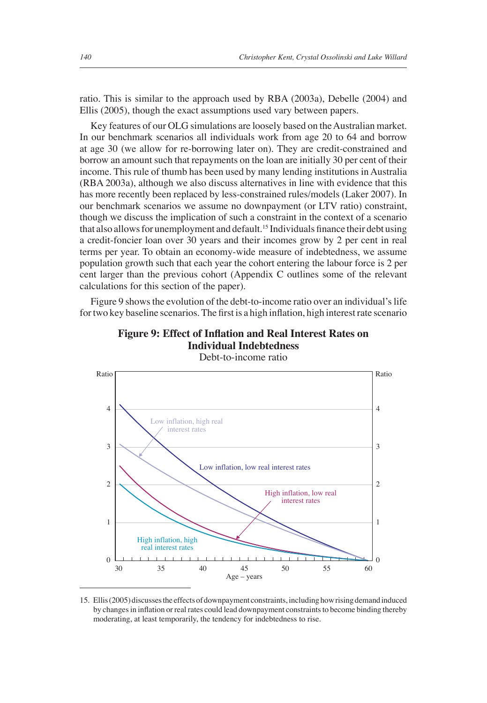ratio. This is similar to the approach used by RBA (2003a), Debelle (2004) and Ellis (2005), though the exact assumptions used vary between papers.

Key features of our OLG simulations are loosely based on the Australian market. In our benchmark scenarios all individuals work from age 20 to 64 and borrow at age 30 (we allow for re-borrowing later on). They are credit-constrained and borrow an amount such that repayments on the loan are initially 30 per cent of their income. This rule of thumb has been used by many lending institutions in Australia (RBA 2003a), although we also discuss alternatives in line with evidence that this has more recently been replaced by less-constrained rules/models (Laker 2007). In our benchmark scenarios we assume no downpayment (or LTV ratio) constraint, though we discuss the implication of such a constraint in the context of a scenario that also allows for unemployment and default.<sup>15</sup> Individuals finance their debt using a credit-foncier loan over 30 years and their incomes grow by 2 per cent in real terms per year. To obtain an economy-wide measure of indebtedness, we assume population growth such that each year the cohort entering the labour force is 2 per cent larger than the previous cohort (Appendix C outlines some of the relevant calculations for this section of the paper).

Figure 9 shows the evolution of the debt-to-income ratio over an individual's life for two key baseline scenarios. The first is a high inflation, high interest rate scenario



**Figure 9: Effect of Inflation and Real Interest Rates on Individual Indebtedness** Debt-to-income ratio

15. Ellis (2005) discusses the effects of downpayment constraints, including how rising demand induced by changes in inflation or real rates could lead downpayment constraints to become binding thereby moderating, at least temporarily, the tendency for indebtedness to rise.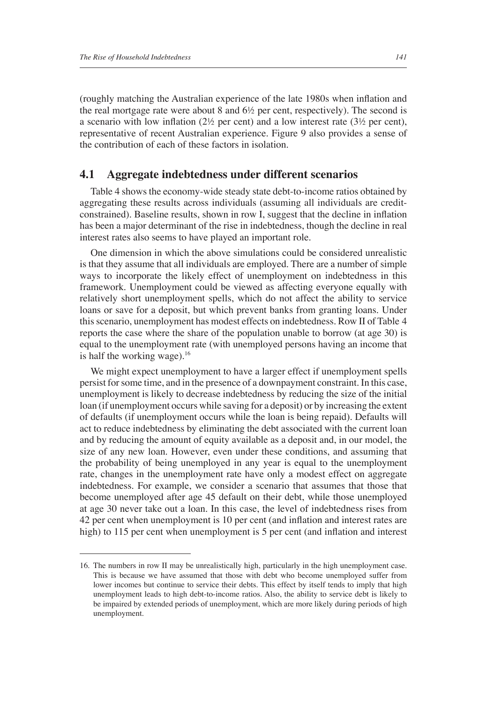(roughly matching the Australian experience of the late 1980s when inflation and the real mortgage rate were about 8 and 6½ per cent, respectively). The second is a scenario with low inflation (2½ per cent) and a low interest rate (3½ per cent), representative of recent Australian experience. Figure 9 also provides a sense of the contribution of each of these factors in isolation.

#### **4.1 Aggregate indebtedness under different scenarios**

Table 4 shows the economy-wide steady state debt-to-income ratios obtained by aggregating these results across individuals (assuming all individuals are creditconstrained). Baseline results, shown in row I, suggest that the decline in inflation has been a major determinant of the rise in indebtedness, though the decline in real interest rates also seems to have played an important role.

One dimension in which the above simulations could be considered unrealistic is that they assume that all individuals are employed. There are a number of simple ways to incorporate the likely effect of unemployment on indebtedness in this framework. Unemployment could be viewed as affecting everyone equally with relatively short unemployment spells, which do not affect the ability to service loans or save for a deposit, but which prevent banks from granting loans. Under this scenario, unemployment has modest effects on indebtedness. Row II of Table 4 reports the case where the share of the population unable to borrow (at age 30) is equal to the unemployment rate (with unemployed persons having an income that is half the working wage). $16$ 

We might expect unemployment to have a larger effect if unemployment spells persist for some time, and in the presence of a downpayment constraint. In this case, unemployment is likely to decrease indebtedness by reducing the size of the initial loan (if unemployment occurs while saving for a deposit) or by increasing the extent of defaults (if unemployment occurs while the loan is being repaid). Defaults will act to reduce indebtedness by eliminating the debt associated with the current loan and by reducing the amount of equity available as a deposit and, in our model, the size of any new loan. However, even under these conditions, and assuming that the probability of being unemployed in any year is equal to the unemployment rate, changes in the unemployment rate have only a modest effect on aggregate indebtedness. For example, we consider a scenario that assumes that those that become unemployed after age 45 default on their debt, while those unemployed at age 30 never take out a loan. In this case, the level of indebtedness rises from 42 per cent when unemployment is 10 per cent (and inflation and interest rates are high) to 115 per cent when unemployment is 5 per cent (and inflation and interest

<sup>16.</sup> The numbers in row II may be unrealistically high, particularly in the high unemployment case. This is because we have assumed that those with debt who become unemployed suffer from lower incomes but continue to service their debts. This effect by itself tends to imply that high unemployment leads to high debt-to-income ratios. Also, the ability to service debt is likely to be impaired by extended periods of unemployment, which are more likely during periods of high unemployment.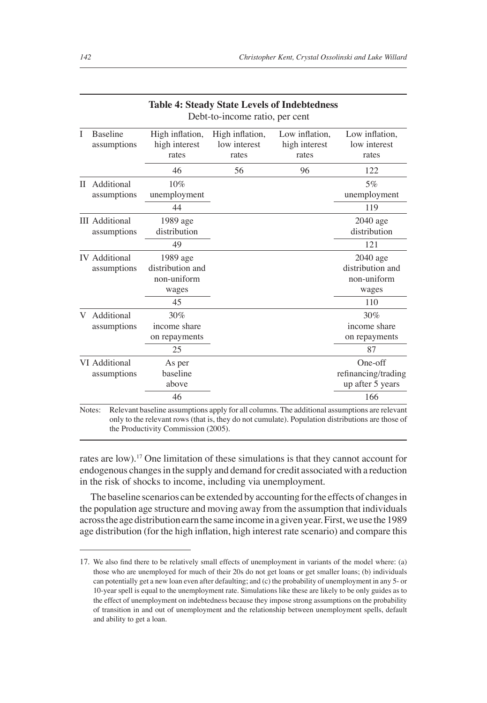| T | <b>Baseline</b><br>assumptions       | High inflation,<br>high interest<br>rates            | High inflation,<br>low interest<br>rates | Low inflation,<br>high interest<br>rates | Low inflation,<br>low interest<br>rates              |
|---|--------------------------------------|------------------------------------------------------|------------------------------------------|------------------------------------------|------------------------------------------------------|
|   |                                      | 46                                                   | 56                                       | 96                                       | 122                                                  |
| П | Additional<br>assumptions            | 10%<br>unemployment                                  |                                          |                                          | $5\%$<br>unemployment                                |
|   |                                      | 44                                                   |                                          |                                          | 119                                                  |
|   | <b>III</b> Additional<br>assumptions | 1989 age<br>distribution                             |                                          |                                          | $2040$ age<br>distribution                           |
|   |                                      | 49                                                   |                                          |                                          | 121                                                  |
|   | <b>IV</b> Additional<br>assumptions  | 1989 age<br>distribution and<br>non-uniform<br>wages |                                          |                                          | 2040 age<br>distribution and<br>non-uniform<br>wages |
|   |                                      | 45                                                   |                                          |                                          | 110                                                  |
| V | Additional<br>assumptions            | 30%<br>income share<br>on repayments<br>25           |                                          |                                          | 30%<br>income share<br>on repayments<br>87           |
|   | VI Additional<br>assumptions         | As per<br>baseline<br>above                          |                                          |                                          | One-off<br>refinancing/trading<br>up after 5 years   |
|   |                                      | 46                                                   |                                          |                                          | 166                                                  |

# **Table 4: Steady State Levels of Indebtedness**

rates are low).17 One limitation of these simulations is that they cannot account for endogenous changes in the supply and demand for credit associated with a reduction in the risk of shocks to income, including via unemployment.

The baseline scenarios can be extended by accounting for the effects of changes in the population age structure and moving away from the assumption that individuals across the age distribution earn the same income in a given year. First, we use the 1989 age distribution (for the high inflation, high interest rate scenario) and compare this

<sup>17.</sup> We also find there to be relatively small effects of unemployment in variants of the model where: (a) those who are unemployed for much of their 20s do not get loans or get smaller loans; (b) individuals can potentially get a new loan even after defaulting; and (c) the probability of unemployment in any 5- or 10-year spell is equal to the unemployment rate. Simulations like these are likely to be only guides as to the effect of unemployment on indebtedness because they impose strong assumptions on the probability of transition in and out of unemployment and the relationship between unemployment spells, default and ability to get a loan.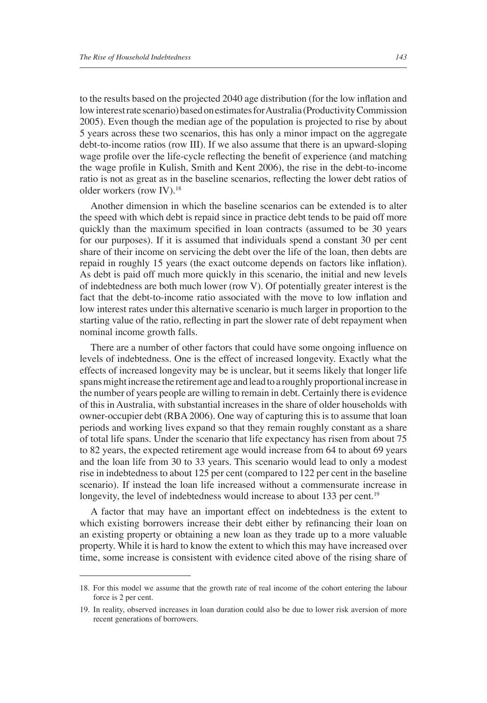to the results based on the projected 2040 age distribution (for the low inflation and low interest rate scenario) based on estimates for Australia (Productivity Commission 2005). Even though the median age of the population is projected to rise by about 5 years across these two scenarios, this has only a minor impact on the aggregate debt-to-income ratios (row III). If we also assume that there is an upward-sloping wage profile over the life-cycle reflecting the benefit of experience (and matching the wage profile in Kulish, Smith and Kent 2006), the rise in the debt-to-income ratio is not as great as in the baseline scenarios, reflecting the lower debt ratios of older workers (row IV).18

Another dimension in which the baseline scenarios can be extended is to alter the speed with which debt is repaid since in practice debt tends to be paid off more quickly than the maximum specified in loan contracts (assumed to be 30 years for our purposes). If it is assumed that individuals spend a constant 30 per cent share of their income on servicing the debt over the life of the loan, then debts are repaid in roughly 15 years (the exact outcome depends on factors like inflation). As debt is paid off much more quickly in this scenario, the initial and new levels of indebtedness are both much lower (row V). Of potentially greater interest is the fact that the debt-to-income ratio associated with the move to low inflation and low interest rates under this alternative scenario is much larger in proportion to the starting value of the ratio, reflecting in part the slower rate of debt repayment when nominal income growth falls.

There are a number of other factors that could have some ongoing influence on levels of indebtedness. One is the effect of increased longevity. Exactly what the effects of increased longevity may be is unclear, but it seems likely that longer life spans might increase the retirement age and lead to a roughly proportional increase in the number of years people are willing to remain in debt. Certainly there is evidence of this in Australia, with substantial increases in the share of older households with owner-occupier debt (RBA 2006). One way of capturing this is to assume that loan periods and working lives expand so that they remain roughly constant as a share of total life spans. Under the scenario that life expectancy has risen from about 75 to 82 years, the expected retirement age would increase from 64 to about 69 years and the loan life from 30 to 33 years. This scenario would lead to only a modest rise in indebtedness to about 125 per cent (compared to 122 per cent in the baseline scenario). If instead the loan life increased without a commensurate increase in longevity, the level of indebtedness would increase to about 133 per cent.<sup>19</sup>

A factor that may have an important effect on indebtedness is the extent to which existing borrowers increase their debt either by refinancing their loan on an existing property or obtaining a new loan as they trade up to a more valuable property. While it is hard to know the extent to which this may have increased over time, some increase is consistent with evidence cited above of the rising share of

<sup>18.</sup> For this model we assume that the growth rate of real income of the cohort entering the labour force is 2 per cent.

<sup>19.</sup> In reality, observed increases in loan duration could also be due to lower risk aversion of more recent generations of borrowers.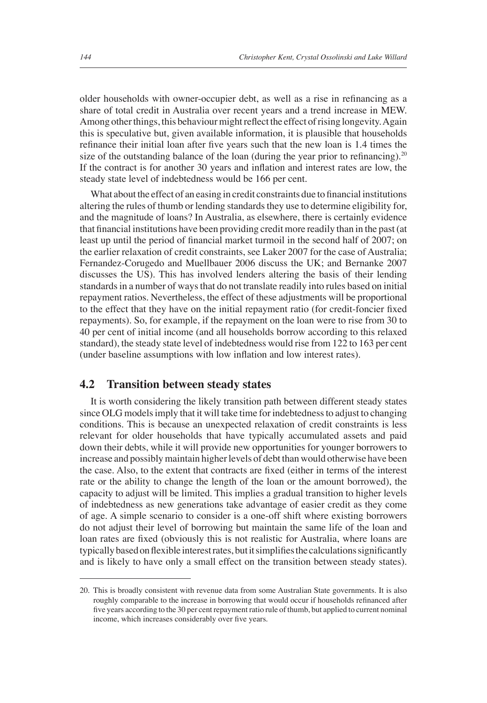older households with owner-occupier debt, as well as a rise in refinancing as a share of total credit in Australia over recent years and a trend increase in MEW. Among other things, this behaviour might reflect the effect of rising longevity. Again this is speculative but, given available information, it is plausible that households refinance their initial loan after five years such that the new loan is 1.4 times the size of the outstanding balance of the loan (during the year prior to refinancing). $20$ If the contract is for another 30 years and inflation and interest rates are low, the steady state level of indebtedness would be 166 per cent.

What about the effect of an easing in credit constraints due to financial institutions altering the rules of thumb or lending standards they use to determine eligibility for, and the magnitude of loans? In Australia, as elsewhere, there is certainly evidence that financial institutions have been providing credit more readily than in the past (at least up until the period of financial market turmoil in the second half of 2007; on the earlier relaxation of credit constraints, see Laker 2007 for the case of Australia; Fernandez-Corugedo and Muellbauer 2006 discuss the UK; and Bernanke 2007 discusses the US). This has involved lenders altering the basis of their lending standards in a number of ways that do not translate readily into rules based on initial repayment ratios. Nevertheless, the effect of these adjustments will be proportional to the effect that they have on the initial repayment ratio (for credit-foncier fixed repayments). So, for example, if the repayment on the loan were to rise from 30 to 40 per cent of initial income (and all households borrow according to this relaxed standard), the steady state level of indebtedness would rise from 122 to 163 per cent (under baseline assumptions with low inflation and low interest rates).

#### **4.2 Transition between steady states**

It is worth considering the likely transition path between different steady states since OLG models imply that it will take time for indebtedness to adjust to changing conditions. This is because an unexpected relaxation of credit constraints is less relevant for older households that have typically accumulated assets and paid down their debts, while it will provide new opportunities for younger borrowers to increase and possibly maintain higher levels of debt than would otherwise have been the case. Also, to the extent that contracts are fixed (either in terms of the interest rate or the ability to change the length of the loan or the amount borrowed), the capacity to adjust will be limited. This implies a gradual transition to higher levels of indebtedness as new generations take advantage of easier credit as they come of age. A simple scenario to consider is a one-off shift where existing borrowers do not adjust their level of borrowing but maintain the same life of the loan and loan rates are fixed (obviously this is not realistic for Australia, where loans are typically based on flexible interest rates, but it simplifies the calculations significantly and is likely to have only a small effect on the transition between steady states).

<sup>20.</sup> This is broadly consistent with revenue data from some Australian State governments. It is also roughly comparable to the increase in borrowing that would occur if households refinanced after five years according to the 30 per cent repayment ratio rule of thumb, but applied to current nominal income, which increases considerably over five years.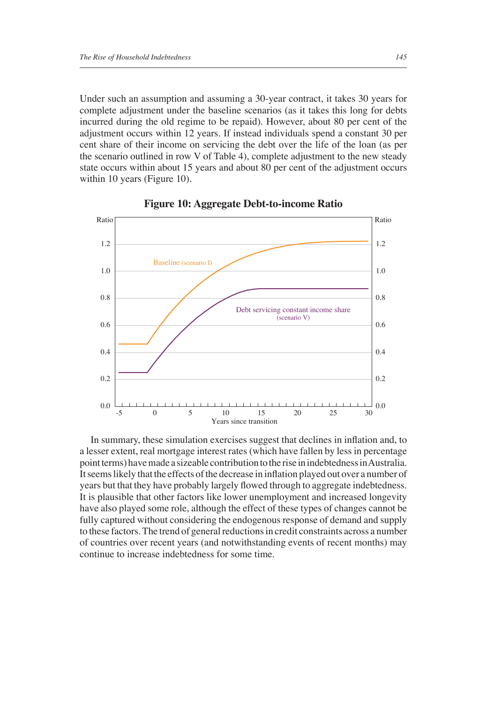Under such an assumption and assuming a 30-year contract, it takes 30 years for complete adjustment under the baseline scenarios (as it takes this long for debts incurred during the old regime to be repaid). However, about 80 per cent of the adjustment occurs within 12 years. If instead individuals spend a constant 30 per cent share of their income on servicing the debt over the life of the loan (as per the scenario outlined in row V of Table 4), complete adjustment to the new steady state occurs within about 15 years and about 80 per cent of the adjustment occurs within 10 years (Figure 10).





In summary, these simulation exercises suggest that declines in inflation and, to a lesser extent, real mortgage interest rates (which have fallen by less in percentage point terms) have made a sizeable contribution to the rise in indebtedness in Australia. It seems likely that the effects of the decrease in inflation played out over a number of years but that they have probably largely flowed through to aggregate indebtedness. It is plausible that other factors like lower unemployment and increased longevity have also played some role, although the effect of these types of changes cannot be fully captured without considering the endogenous response of demand and supply to these factors. The trend of general reductions in credit constraints across a number of countries over recent years (and notwithstanding events of recent months) may continue to increase indebtedness for some time.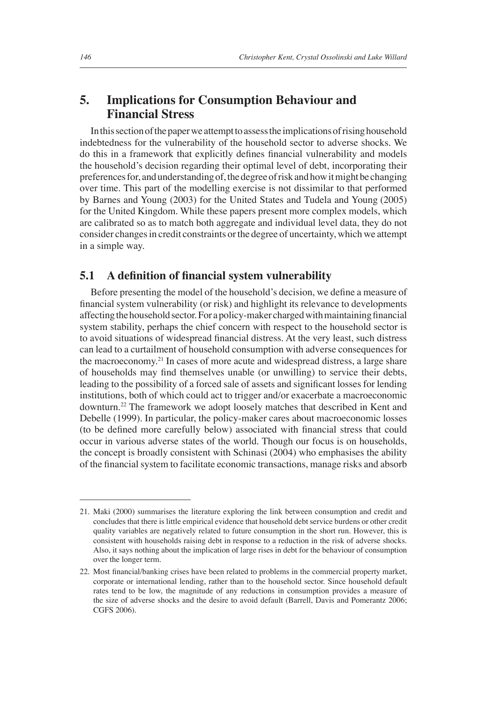## **5. Implications for Consumption Behaviour and Financial Stress**

In this section of the paper we attempt to assess the implications of rising household indebtedness for the vulnerability of the household sector to adverse shocks. We do this in a framework that explicitly defines financial vulnerability and models the household's decision regarding their optimal level of debt, incorporating their preferences for, and understanding of, the degree of risk and how it might be changing over time. This part of the modelling exercise is not dissimilar to that performed by Barnes and Young (2003) for the United States and Tudela and Young (2005) for the United Kingdom. While these papers present more complex models, which are calibrated so as to match both aggregate and individual level data, they do not consider changes in credit constraints or the degree of uncertainty, which we attempt in a simple way.

#### **5.1** A definition of financial system vulnerability

Before presenting the model of the household's decision, we define a measure of financial system vulnerability (or risk) and highlight its relevance to developments affecting the household sector. For a policy-maker charged with maintaining financial system stability, perhaps the chief concern with respect to the household sector is to avoid situations of widespread financial distress. At the very least, such distress can lead to a curtailment of household consumption with adverse consequences for the macroeconomy.21 In cases of more acute and widespread distress, a large share of households may find themselves unable (or unwilling) to service their debts, leading to the possibility of a forced sale of assets and significant losses for lending institutions, both of which could act to trigger and/or exacerbate a macroeconomic downturn.22 The framework we adopt loosely matches that described in Kent and Debelle (1999). In particular, the policy-maker cares about macroeconomic losses (to be defined more carefully below) associated with financial stress that could occur in various adverse states of the world. Though our focus is on households, the concept is broadly consistent with Schinasi (2004) who emphasises the ability of the financial system to facilitate economic transactions, manage risks and absorb

<sup>21.</sup> Maki (2000) summarises the literature exploring the link between consumption and credit and concludes that there is little empirical evidence that household debt service burdens or other credit quality variables are negatively related to future consumption in the short run. However, this is consistent with households raising debt in response to a reduction in the risk of adverse shocks. Also, it says nothing about the implication of large rises in debt for the behaviour of consumption over the longer term.

<sup>22.</sup> Most financial/banking crises have been related to problems in the commercial property market, corporate or international lending, rather than to the household sector. Since household default rates tend to be low, the magnitude of any reductions in consumption provides a measure of the size of adverse shocks and the desire to avoid default (Barrell, Davis and Pomerantz 2006; CGFS 2006).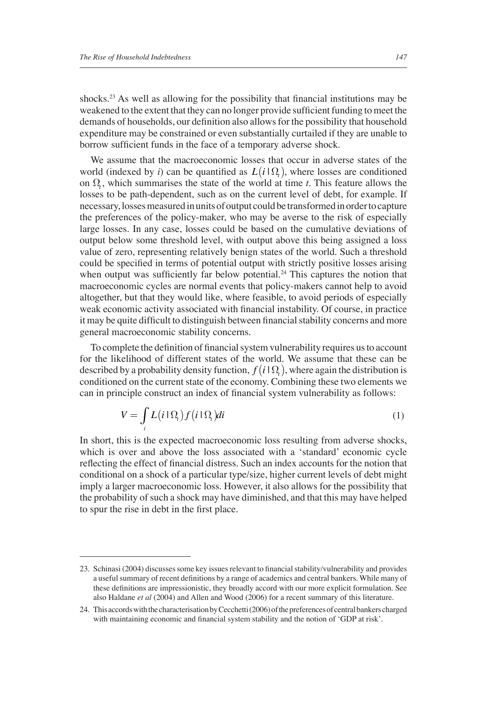shocks.<sup>23</sup> As well as allowing for the possibility that financial institutions may be weakened to the extent that they can no longer provide sufficient funding to meet the demands of households, our definition also allows for the possibility that household expenditure may be constrained or even substantially curtailed if they are unable to borrow sufficient funds in the face of a temporary adverse shock.

We assume that the macroeconomic losses that occur in adverse states of the world (indexed by *i*) can be quantified as  $L(i|\Omega)$ , where losses are conditioned on  $\Omega$ , which summarises the state of the world at time *t*. This feature allows the losses to be path-dependent, such as on the current level of debt, for example. If necessary, losses measured in units of output could be transformed in order to capture the preferences of the policy-maker, who may be averse to the risk of especially large losses. In any case, losses could be based on the cumulative deviations of output below some threshold level, with output above this being assigned a loss value of zero, representing relatively benign states of the world. Such a threshold could be specified in terms of potential output with strictly positive losses arising when output was sufficiently far below potential.<sup>24</sup> This captures the notion that macroeconomic cycles are normal events that policy-makers cannot help to avoid altogether, but that they would like, where feasible, to avoid periods of especially weak economic activity associated with financial instability. Of course, in practice it may be quite difficult to distinguish between financial stability concerns and more general macroeconomic stability concerns.

To complete the definition of financial system vulnerability requires us to account for the likelihood of different states of the world. We assume that these can be described by a probability density function,  $f(i|\Omega)$ , where again the distribution is conditioned on the current state of the economy. Combining these two elements we can in principle construct an index of financial system vulnerability as follows:

$$
V = \int_{i} L(i \, \Omega_i) f(i \, \Omega_i) di \tag{1}
$$

In short, this is the expected macroeconomic loss resulting from adverse shocks, which is over and above the loss associated with a 'standard' economic cycle reflecting the effect of financial distress. Such an index accounts for the notion that conditional on a shock of a particular type/size, higher current levels of debt might imply a larger macroeconomic loss. However, it also allows for the possibility that the probability of such a shock may have diminished, and that this may have helped to spur the rise in debt in the first place.

<sup>23.</sup> Schinasi (2004) discusses some key issues relevant to financial stability/vulnerability and provides a useful summary of recent definitions by a range of academics and central bankers. While many of these definitions are impressionistic, they broadly accord with our more explicit formulation. See also Haldane *et al* (2004) and Allen and Wood (2006) for a recent summary of this literature.

<sup>24.</sup> This accords with the characterisation by Cecchetti (2006) of the preferences of central bankers charged with maintaining economic and financial system stability and the notion of 'GDP at risk'.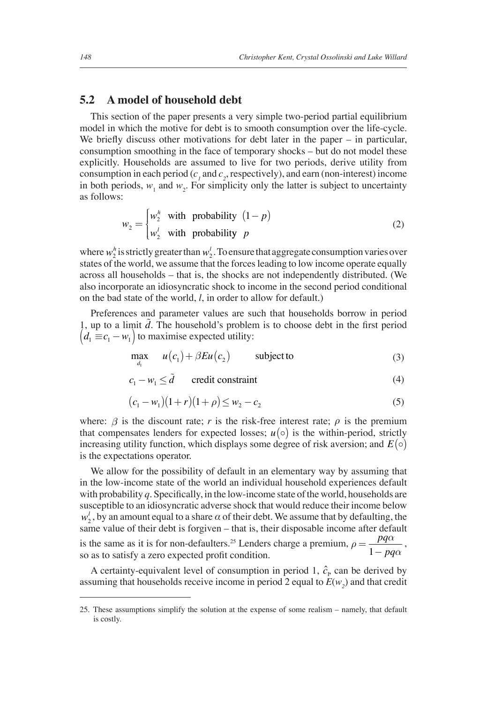#### **5.2 A model of household debt**

This section of the paper presents a very simple two-period partial equilibrium model in which the motive for debt is to smooth consumption over the life-cycle. We briefly discuss other motivations for debt later in the paper  $-$  in particular, consumption smoothing in the face of temporary shocks – but do not model these explicitly. Households are assumed to live for two periods, derive utility from consumption in each period  $(c<sub>1</sub>$  and  $c<sub>2</sub>$ , respectively), and earn (non-interest) income in both periods,  $w_1$  and  $w_2$ . For simplicity only the latter is subject to uncertainty as follows:

$$
w_2 = \begin{cases} w_2^h & \text{with probability } (1 - p) \\ w_2^l & \text{with probability } p \end{cases} \tag{2}
$$

where  $w_2^h$  is strictly greater than  $w_2^l$ . To ensure that aggregate consumption varies over states of the world, we assume that the forces leading to low income operate equally across all households – that is, the shocks are not independently distributed. (We also incorporate an idiosyncratic shock to income in the second period conditional on the bad state of the world, *l*, in order to allow for default.)

Preferences and parameter values are such that households borrow in period 1, up to a limit  $\tilde{d}$ . The household's problem is to choose debt in the first period  $\left( d_1 \equiv c_1 - w_1 \right)$  to maximise expected utility:

$$
\max_{d_1} \quad u(c_1) + \beta Eu(c_2) \quad \text{subject to} \tag{3}
$$

 $c_1 - w_1 \leq \tilde{d}$  credit constraint (4)

$$
(c_1 - w_1)(1+r)(1+\rho) \le w_2 - c_2 \tag{5}
$$

where:  $\beta$  is the discount rate; *r* is the risk-free interest rate;  $\rho$  is the premium that compensates lenders for expected losses;  $u(\circ)$  is the within-period, strictly increasing utility function, which displays some degree of risk aversion; and  $E(\circ)$ is the expectations operator.

We allow for the possibility of default in an elementary way by assuming that in the low-income state of the world an individual household experiences default with probability  $q$ . Specifically, in the low-income state of the world, households are susceptible to an idiosyncratic adverse shock that would reduce their income below  $w_2^l$ , by an amount equal to a share  $\alpha$  of their debt. We assume that by defaulting, the same value of their debt is forgiven – that is, their disposable income after default is the same as it is for non-defaulters.<sup>25</sup> Lenders charge a premium,  $\rho = \frac{pq\alpha}{1 - pq\alpha}$ , so as to satisfy a zero expected profit condition. so as to satisfy a zero expected profit condition.

A certainty-equivalent level of consumption in period 1,  $\hat{c}_1$ , can be derived by assuming that households receive income in period 2 equal to  $E(w_2)$  and that credit

<sup>25.</sup> These assumptions simplify the solution at the expense of some realism – namely, that default is costly.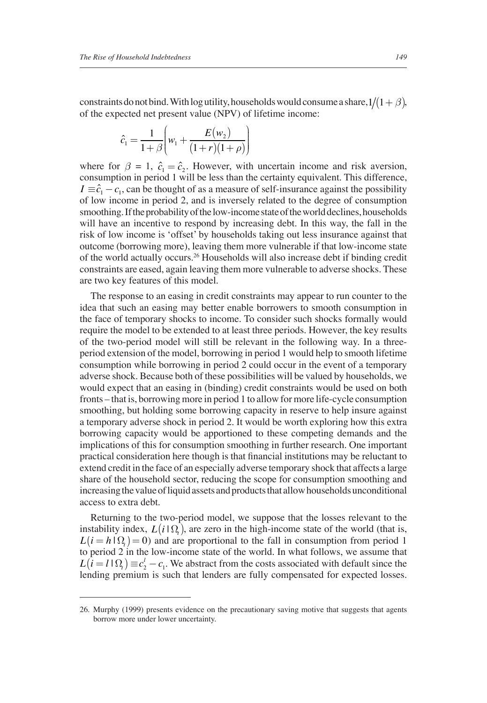constraints do not bind. With log utility, households would consume a share,  $1/(1+\beta)$ , of the expected net present value (NPV) of lifetime income:

$$
\hat{c}_1 = \frac{1}{1+\beta} \left( w_1 + \frac{E(w_2)}{(1+r)(1+\rho)} \right)
$$

where for  $\beta = 1$ ,  $\hat{c}_1 = \hat{c}_2$ . However, with uncertain income and risk aversion, consumption in period 1 will be less than the certainty equivalent. This difference,  $I \equiv \hat{c}_1 - c_1$ , can be thought of as a measure of self-insurance against the possibility of low income in period 2, and is inversely related to the degree of consumption smoothing. If the probability of the low-income state of the world declines, households will have an incentive to respond by increasing debt. In this way, the fall in the risk of low income is 'offset' by households taking out less insurance against that outcome (borrowing more), leaving them more vulnerable if that low-income state of the world actually occurs.26 Households will also increase debt if binding credit constraints are eased, again leaving them more vulnerable to adverse shocks. These are two key features of this model.

The response to an easing in credit constraints may appear to run counter to the idea that such an easing may better enable borrowers to smooth consumption in the face of temporary shocks to income. To consider such shocks formally would require the model to be extended to at least three periods. However, the key results of the two-period model will still be relevant in the following way. In a threeperiod extension of the model, borrowing in period 1 would help to smooth lifetime consumption while borrowing in period 2 could occur in the event of a temporary adverse shock. Because both of these possibilities will be valued by households, we would expect that an easing in (binding) credit constraints would be used on both fronts – that is, borrowing more in period 1 to allow for more life-cycle consumption smoothing, but holding some borrowing capacity in reserve to help insure against a temporary adverse shock in period 2. It would be worth exploring how this extra borrowing capacity would be apportioned to these competing demands and the implications of this for consumption smoothing in further research. One important practical consideration here though is that financial institutions may be reluctant to extend credit in the face of an especially adverse temporary shock that affects a large share of the household sector, reducing the scope for consumption smoothing and increasing the value of liquid assets and products that allow households unconditional access to extra debt.

Returning to the two-period model, we suppose that the losses relevant to the instability index,  $L(i|\Omega)$ , are zero in the high-income state of the world (that is,  $L(i = h | \Omega) = 0$  and are proportional to the fall in consumption from period 1 to period 2 in the low-income state of the world. In what follows, we assume that  $L(i = l \log_l) \equiv c_2^l - c_1$ . We abstract from the costs associated with default since the lending premium is such that lenders are fully compensated for expected losses.

<sup>26.</sup> Murphy (1999) presents evidence on the precautionary saving motive that suggests that agents borrow more under lower uncertainty.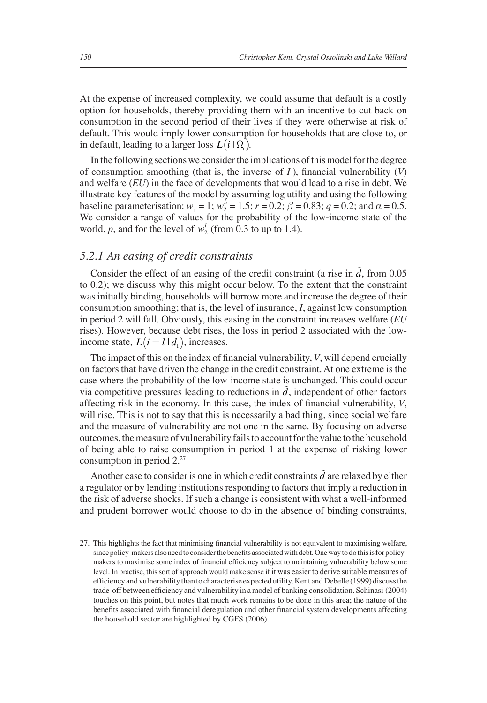At the expense of increased complexity, we could assume that default is a costly option for households, thereby providing them with an incentive to cut back on consumption in the second period of their lives if they were otherwise at risk of default. This would imply lower consumption for households that are close to, or in default, leading to a larger loss  $L(i | \Omega)$ .

In the following sections we consider the implications of this model for the degree of consumption smoothing (that is, the inverse of  $I$ ), financial vulnerability  $(V)$ and welfare (*EU*) in the face of developments that would lead to a rise in debt. We illustrate key features of the model by assuming log utility and using the following baseline parameterisation:  $w_1 = 1$ ;  $w_2^h = 1.5$ ;  $r = 0.2$ ;  $\beta = 0.83$ ;  $q = 0.2$ ; and  $\alpha = 0.5$ . We consider a range of values for the probability of the low-income state of the world, *p*, and for the level of  $w_2^l$  (from 0.3 to up to 1.4).

#### *5.2.1 An easing of credit constraints*

Consider the effect of an easing of the credit constraint (a rise in  $\tilde{d}$ , from 0.05 to 0.2); we discuss why this might occur below. To the extent that the constraint was initially binding, households will borrow more and increase the degree of their consumption smoothing; that is, the level of insurance, *I*, against low consumption in period 2 will fall. Obviously, this easing in the constraint increases welfare (*EU* rises). However, because debt rises, the loss in period 2 associated with the lowincome state,  $L(i = l | d_1)$ , increases.

The impact of this on the index of financial vulnerability, *V*, will depend crucially on factors that have driven the change in the credit constraint. At one extreme is the case where the probability of the low-income state is unchanged. This could occur via competitive pressures leading to reductions in  $d$ , independent of other factors affecting risk in the economy. In this case, the index of financial vulnerability, *V*, will rise. This is not to say that this is necessarily a bad thing, since social welfare and the measure of vulnerability are not one in the same. By focusing on adverse outcomes, the measure of vulnerability fails to account for the value to the household of being able to raise consumption in period 1 at the expense of risking lower consumption in period 2.27

Another case to consider is one in which credit constraints *d* are relaxed by either a regulator or by lending institutions responding to factors that imply a reduction in the risk of adverse shocks. If such a change is consistent with what a well-informed and prudent borrower would choose to do in the absence of binding constraints,

<sup>27.</sup> This highlights the fact that minimising financial vulnerability is not equivalent to maximising welfare, since policy-makers also need to consider the benefits associated with debt. One way to do this is for policymakers to maximise some index of financial efficiency subject to maintaining vulnerability below some level. In practise, this sort of approach would make sense if it was easier to derive suitable measures of efficiency and vulnerability than to characterise expected utility. Kent and Debelle (1999) discuss the trade-off between efficiency and vulnerability in a model of banking consolidation. Schinasi (2004) touches on this point, but notes that much work remains to be done in this area; the nature of the benefits associated with financial deregulation and other financial system developments affecting the household sector are highlighted by CGFS (2006).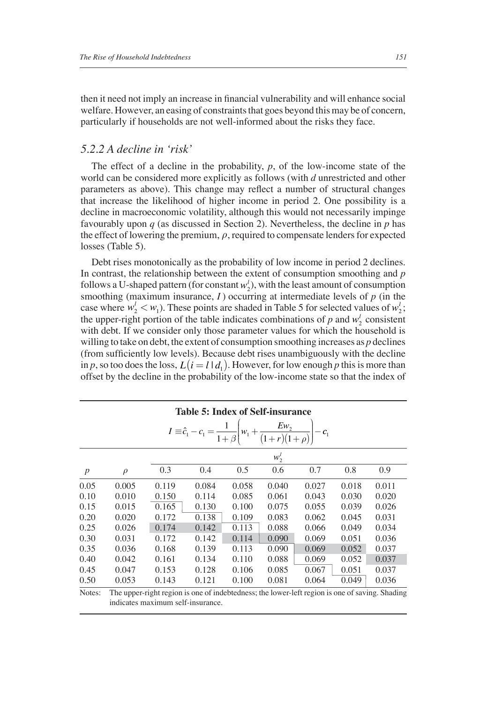then it need not imply an increase in financial vulnerability and will enhance social welfare. However, an easing of constraints that goes beyond this may be of concern, particularly if households are not well-informed about the risks they face.

#### *5.2.2 A decline in 'risk'*

The effect of a decline in the probability, *p*, of the low-income state of the world can be considered more explicitly as follows (with *d* unrestricted and other parameters as above). This change may reflect a number of structural changes that increase the likelihood of higher income in period 2. One possibility is a decline in macroeconomic volatility, although this would not necessarily impinge favourably upon *q* (as discussed in Section 2). Nevertheless, the decline in *p* has the effect of lowering the premium, *ρ*, required to compensate lenders for expected losses (Table 5).

Debt rises monotonically as the probability of low income in period 2 declines. In contrast, the relationship between the extent of consumption smoothing and *p* follows a U-shaped pattern (for constant  $w_2^l$ ), with the least amount of consumption smoothing (maximum insurance,  $I$ ) occurring at intermediate levels of  $p$  (in the case where  $w_2^l < w_1$ ). These points are shaded in Table 5 for selected values of  $w_2^l$ ; the upper-right portion of the table indicates combinations of  $p$  and  $w_2^l$  consistent with debt. If we consider only those parameter values for which the household is willing to take on debt, the extent of consumption smoothing increases as *p* declines (from sufficiently low levels). Because debt rises unambiguously with the decline in *p*, so too does the loss,  $L(i = l | d_1)$ . However, for low enough *p* this is more than offset by the decline in the probability of the low-income state so that the index of

|        |        |                                                                                                  | <b>Table 5: Index of Self-insurance</b>                                                              |       |         |       |       |       |
|--------|--------|--------------------------------------------------------------------------------------------------|------------------------------------------------------------------------------------------------------|-------|---------|-------|-------|-------|
|        |        |                                                                                                  | $I \equiv \hat{c}_1 - c_1 = \frac{1}{1+\beta} \left[ w_1 + \frac{Ew_2}{(1+r)(1+\rho)} \right] - c_1$ |       |         |       |       |       |
|        |        |                                                                                                  |                                                                                                      |       | $w_2^l$ |       |       |       |
|        | $\rho$ | 0.3                                                                                              | 0.4                                                                                                  | 0.5   | 0.6     | 0.7   | 0.8   | 0.9   |
| 0.05   | 0.005  | 0.119                                                                                            | 0.084                                                                                                | 0.058 | 0.040   | 0.027 | 0.018 | 0.011 |
| 0.10   | 0.010  | 0.150                                                                                            | 0.114                                                                                                | 0.085 | 0.061   | 0.043 | 0.030 | 0.020 |
| 0.15   | 0.015  | 0.165                                                                                            | 0.130                                                                                                | 0.100 | 0.075   | 0.055 | 0.039 | 0.026 |
| 0.20   | 0.020  | 0.172                                                                                            | 0.138                                                                                                | 0.109 | 0.083   | 0.062 | 0.045 | 0.031 |
| 0.25   | 0.026  | 0.174                                                                                            | 0.142                                                                                                | 0.113 | 0.088   | 0.066 | 0.049 | 0.034 |
| 0.30   | 0.031  | 0.172                                                                                            | 0.142                                                                                                | 0.114 | 0.090   | 0.069 | 0.051 | 0.036 |
| 0.35   | 0.036  | 0.168                                                                                            | 0.139                                                                                                | 0.113 | 0.090   | 0.069 | 0.052 | 0.037 |
| 0.40   | 0.042  | 0.161                                                                                            | 0.134                                                                                                | 0.110 | 0.088   | 0.069 | 0.052 | 0.037 |
| 0.45   | 0.047  | 0.153                                                                                            | 0.128                                                                                                | 0.106 | 0.085   | 0.067 | 0.051 | 0.037 |
| 0.50   | 0.053  | 0.143                                                                                            | 0.121                                                                                                | 0.100 | 0.081   | 0.064 | 0.049 | 0.036 |
| Matsa. |        | The masses of the aceton to successful delegations the Lower Left aceton to successful a Chadian |                                                                                                      |       |         |       |       |       |

Notes: The upper-right region is one of indebtedness; the lower-left region is one of saving. Shading indicates maximum self-insurance.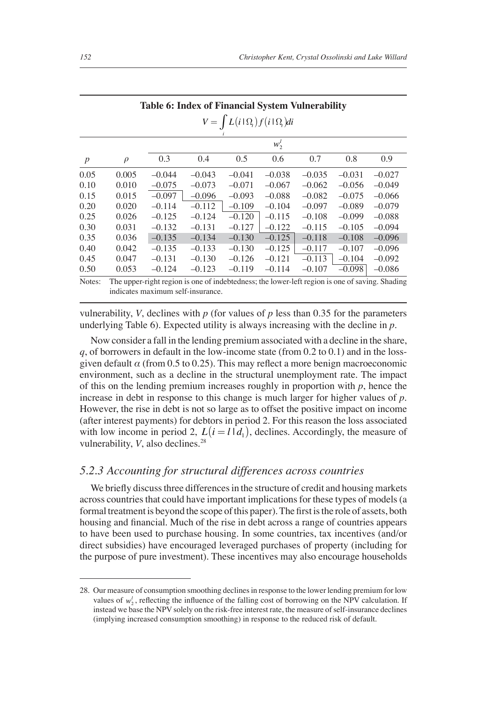|                  |        | <b>Table 6: Index of Financial System Vulnerability</b> |          |                                                 |          |          |          |                                                                                                |
|------------------|--------|---------------------------------------------------------|----------|-------------------------------------------------|----------|----------|----------|------------------------------------------------------------------------------------------------|
|                  |        |                                                         |          | $V = \int L(i \, \Omega_i) f(i \, \Omega_i) di$ |          |          |          |                                                                                                |
|                  |        |                                                         |          |                                                 | $w_2^l$  |          |          |                                                                                                |
| $\boldsymbol{p}$ | $\rho$ | 0.3                                                     | 0.4      | 0.5                                             | 0.6      | 0.7      | 0.8      | 0.9                                                                                            |
| 0.05             | 0.005  | $-0.044$                                                | $-0.043$ | $-0.041$                                        | $-0.038$ | $-0.035$ | $-0.031$ | $-0.027$                                                                                       |
| 0.10             | 0.010  | $-0.075$                                                | $-0.073$ | $-0.071$                                        | $-0.067$ | $-0.062$ | $-0.056$ | $-0.049$                                                                                       |
| 0.15             | 0.015  | $-0.097$                                                | $-0.096$ | $-0.093$                                        | $-0.088$ | $-0.082$ | $-0.075$ | $-0.066$                                                                                       |
| 0.20             | 0.020  | $-0.114$                                                | $-0.112$ | $-0.109$                                        | $-0.104$ | $-0.097$ | $-0.089$ | $-0.079$                                                                                       |
| 0.25             | 0.026  | $-0.125$                                                | $-0.124$ | $-0.120$                                        | $-0.115$ | $-0.108$ | $-0.099$ | $-0.088$                                                                                       |
| 0.30             | 0.031  | $-0.132$                                                | $-0.131$ | $-0.127$                                        | $-0.122$ | $-0.115$ | $-0.105$ | $-0.094$                                                                                       |
| 0.35             | 0.036  | $-0.135$                                                | $-0.134$ | $-0.130$                                        | $-0.125$ | $-0.118$ | $-0.108$ | $-0.096$                                                                                       |
| 0.40             | 0.042  | $-0.135$                                                | $-0.133$ | $-0.130$                                        | $-0.125$ | $-0.117$ | $-0.107$ | $-0.096$                                                                                       |
| 0.45             | 0.047  | $-0.131$                                                | $-0.130$ | $-0.126$                                        | $-0.121$ | $-0.113$ | $-0.104$ | $-0.092$                                                                                       |
| 0.50             | 0.053  | $-0.124$                                                | $-0.123$ | $-0.119$                                        | $-0.114$ | $-0.107$ | $-0.098$ | $-0.086$                                                                                       |
| Notes:           |        | indicates maximum self-insurance                        |          |                                                 |          |          |          | The upper-right region is one of indebtedness; the lower-left region is one of saving. Shading |

| vulnerability, V, declines with p (for values of p less than 0.35 for the parameters |  |
|--------------------------------------------------------------------------------------|--|
| underlying Table 6). Expected utility is always increasing with the decline in $p$ . |  |

Now consider a fall in the lending premium associated with a decline in the share, *q*, of borrowers in default in the low-income state (from 0.2 to 0.1) and in the lossgiven default  $\alpha$  (from 0.5 to 0.25). This may reflect a more benign macroeconomic environment, such as a decline in the structural unemployment rate. The impact of this on the lending premium increases roughly in proportion with *p*, hence the increase in debt in response to this change is much larger for higher values of *p*. However, the rise in debt is not so large as to offset the positive impact on income (after interest payments) for debtors in period 2. For this reason the loss associated with low income in period 2,  $L(i = l | d_1)$ , declines. Accordingly, the measure of vulnerability, *V*, also declines.<sup>28</sup>

## *5.2.3 Accounting for structural differences across countries*

We briefly discuss three differences in the structure of credit and housing markets across countries that could have important implications for these types of models (a formal treatment is beyond the scope of this paper). The first is the role of assets, both housing and financial. Much of the rise in debt across a range of countries appears to have been used to purchase housing. In some countries, tax incentives (and/or direct subsidies) have encouraged leveraged purchases of property (including for the purpose of pure investment). These incentives may also encourage households

<sup>28.</sup> Our measure of consumption smoothing declines in response to the lower lending premium for low values of  $w_2^l$ , reflecting the influence of the falling cost of borrowing on the NPV calculation. If instead we base the NPV solely on the risk-free interest rate, the measure of self-insurance declines (implying increased consumption smoothing) in response to the reduced risk of default.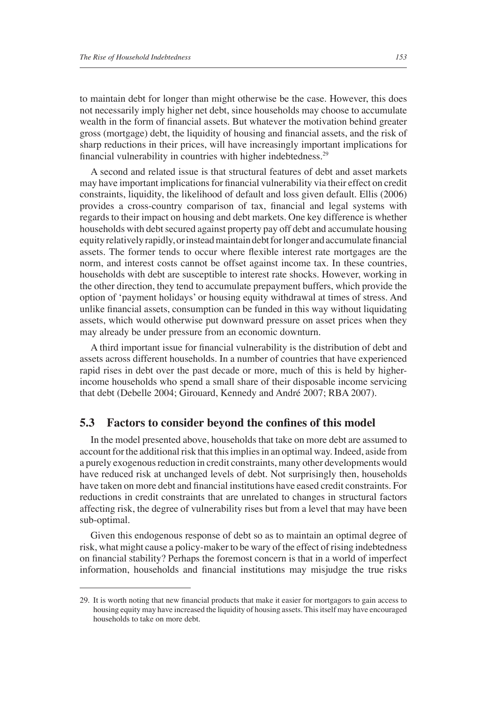to maintain debt for longer than might otherwise be the case. However, this does not necessarily imply higher net debt, since households may choose to accumulate wealth in the form of financial assets. But whatever the motivation behind greater gross (mortgage) debt, the liquidity of housing and financial assets, and the risk of sharp reductions in their prices, will have increasingly important implications for financial vulnerability in countries with higher indebtedness.<sup>29</sup>

A second and related issue is that structural features of debt and asset markets may have important implications for financial vulnerability via their effect on credit constraints, liquidity, the likelihood of default and loss given default. Ellis (2006) provides a cross-country comparison of tax, financial and legal systems with regards to their impact on housing and debt markets. One key difference is whether households with debt secured against property pay off debt and accumulate housing equity relatively rapidly, or instead maintain debt for longer and accumulate financial assets. The former tends to occur where flexible interest rate mortgages are the norm, and interest costs cannot be offset against income tax. In these countries, households with debt are susceptible to interest rate shocks. However, working in the other direction, they tend to accumulate prepayment buffers, which provide the option of 'payment holidays' or housing equity withdrawal at times of stress. And unlike financial assets, consumption can be funded in this way without liquidating assets, which would otherwise put downward pressure on asset prices when they may already be under pressure from an economic downturn.

A third important issue for financial vulnerability is the distribution of debt and assets across different households. In a number of countries that have experienced rapid rises in debt over the past decade or more, much of this is held by higherincome households who spend a small share of their disposable income servicing that debt (Debelle 2004; Girouard, Kennedy and André 2007; RBA 2007).

#### **5.3** Factors to consider beyond the confines of this model

In the model presented above, households that take on more debt are assumed to account for the additional risk that this implies in an optimal way. Indeed, aside from a purely exogenous reduction in credit constraints, many other developments would have reduced risk at unchanged levels of debt. Not surprisingly then, households have taken on more debt and financial institutions have eased credit constraints. For reductions in credit constraints that are unrelated to changes in structural factors affecting risk, the degree of vulnerability rises but from a level that may have been sub-optimal.

Given this endogenous response of debt so as to maintain an optimal degree of risk, what might cause a policy-maker to be wary of the effect of rising indebtedness on financial stability? Perhaps the foremost concern is that in a world of imperfect information, households and financial institutions may misjudge the true risks

<sup>29.</sup> It is worth noting that new financial products that make it easier for mortgagors to gain access to housing equity may have increased the liquidity of housing assets. This itself may have encouraged households to take on more debt.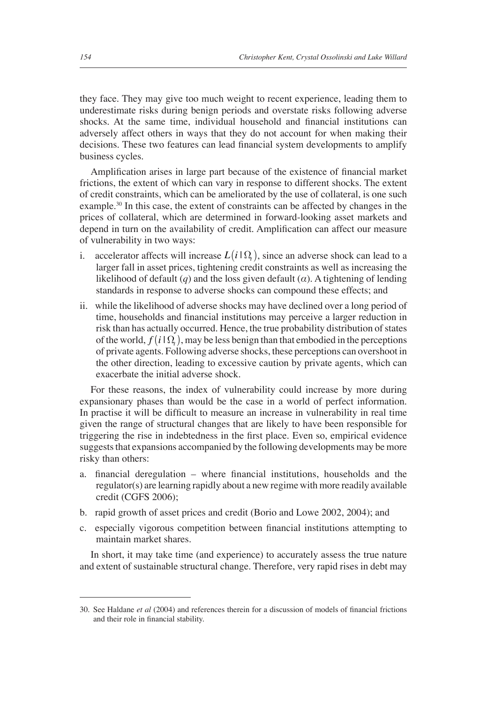they face. They may give too much weight to recent experience, leading them to underestimate risks during benign periods and overstate risks following adverse shocks. At the same time, individual household and financial institutions can adversely affect others in ways that they do not account for when making their decisions. These two features can lead financial system developments to amplify business cycles.

Amplification arises in large part because of the existence of financial market frictions, the extent of which can vary in response to different shocks. The extent of credit constraints, which can be ameliorated by the use of collateral, is one such example.<sup>30</sup> In this case, the extent of constraints can be affected by changes in the prices of collateral, which are determined in forward-looking asset markets and depend in turn on the availability of credit. Amplification can affect our measure of vulnerability in two ways:

- i. accelerator affects will increase  $L(i|\Omega)$ , since an adverse shock can lead to a larger fall in asset prices, tightening credit constraints as well as increasing the likelihood of default (*q*) and the loss given default ( $\alpha$ ). A tightening of lending standards in response to adverse shocks can compound these effects; and
- ii. while the likelihood of adverse shocks may have declined over a long period of time, households and financial institutions may perceive a larger reduction in risk than has actually occurred. Hence, the true probability distribution of states of the world,  $f(i|\Omega)$ , may be less benign than that embodied in the perceptions of private agents. Following adverse shocks, these perceptions can overshoot in the other direction, leading to excessive caution by private agents, which can exacerbate the initial adverse shock.

For these reasons, the index of vulnerability could increase by more during expansionary phases than would be the case in a world of perfect information. In practise it will be difficult to measure an increase in vulnerability in real time given the range of structural changes that are likely to have been responsible for triggering the rise in indebtedness in the first place. Even so, empirical evidence suggests that expansions accompanied by the following developments may be more risky than others:

- a. financial deregulation where financial institutions, households and the regulator(s) are learning rapidly about a new regime with more readily available credit (CGFS 2006);
- b. rapid growth of asset prices and credit (Borio and Lowe 2002, 2004); and
- c. especially vigorous competition between financial institutions attempting to maintain market shares.

In short, it may take time (and experience) to accurately assess the true nature and extent of sustainable structural change. Therefore, very rapid rises in debt may

<sup>30.</sup> See Haldane *et al* (2004) and references therein for a discussion of models of financial frictions and their role in financial stability.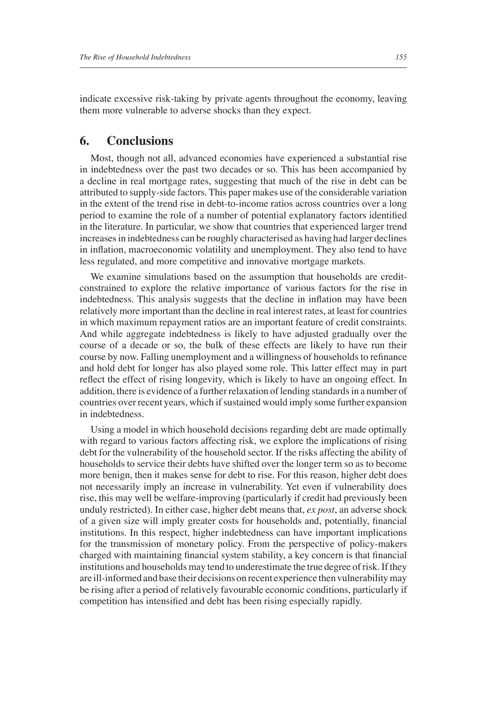indicate excessive risk-taking by private agents throughout the economy, leaving them more vulnerable to adverse shocks than they expect.

## **6. Conclusions**

Most, though not all, advanced economies have experienced a substantial rise in indebtedness over the past two decades or so. This has been accompanied by a decline in real mortgage rates, suggesting that much of the rise in debt can be attributed to supply-side factors. This paper makes use of the considerable variation in the extent of the trend rise in debt-to-income ratios across countries over a long period to examine the role of a number of potential explanatory factors identified in the literature. In particular, we show that countries that experienced larger trend increases in indebtedness can be roughly characterised as having had larger declines in inflation, macroeconomic volatility and unemployment. They also tend to have less regulated, and more competitive and innovative mortgage markets.

We examine simulations based on the assumption that households are creditconstrained to explore the relative importance of various factors for the rise in indebtedness. This analysis suggests that the decline in inflation may have been relatively more important than the decline in real interest rates, at least for countries in which maximum repayment ratios are an important feature of credit constraints. And while aggregate indebtedness is likely to have adjusted gradually over the course of a decade or so, the bulk of these effects are likely to have run their course by now. Falling unemployment and a willingness of households to refinance and hold debt for longer has also played some role. This latter effect may in part reflect the effect of rising longevity, which is likely to have an ongoing effect. In addition, there is evidence of a further relaxation of lending standards in a number of countries over recent years, which if sustained would imply some further expansion in indebtedness.

Using a model in which household decisions regarding debt are made optimally with regard to various factors affecting risk, we explore the implications of rising debt for the vulnerability of the household sector. If the risks affecting the ability of households to service their debts have shifted over the longer term so as to become more benign, then it makes sense for debt to rise. For this reason, higher debt does not necessarily imply an increase in vulnerability. Yet even if vulnerability does rise, this may well be welfare-improving (particularly if credit had previously been unduly restricted). In either case, higher debt means that, *ex post*, an adverse shock of a given size will imply greater costs for households and, potentially, financial institutions. In this respect, higher indebtedness can have important implications for the transmission of monetary policy. From the perspective of policy-makers charged with maintaining financial system stability, a key concern is that financial institutions and households may tend to underestimate the true degree of risk. If they are ill-informed and base their decisions on recent experience then vulnerability may be rising after a period of relatively favourable economic conditions, particularly if competition has intensified and debt has been rising especially rapidly.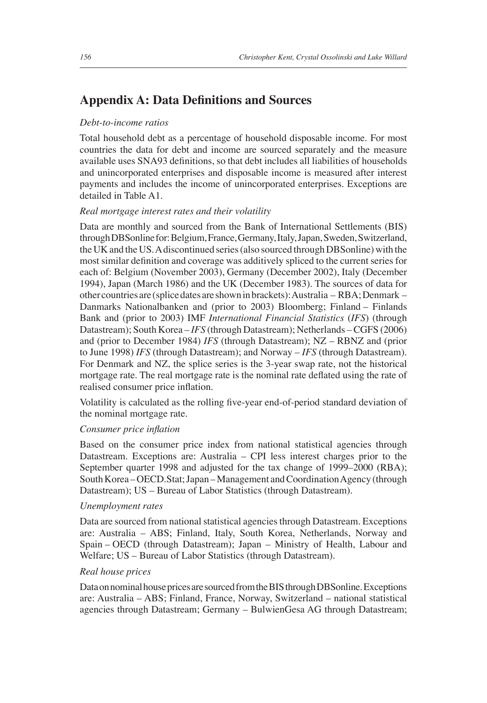## **Appendix A: Data Definitions and Sources**

#### *Debt-to-income ratios*

Total household debt as a percentage of household disposable income. For most countries the data for debt and income are sourced separately and the measure available uses SNA93 definitions, so that debt includes all liabilities of households and unincorporated enterprises and disposable income is measured after interest payments and includes the income of unincorporated enterprises. Exceptions are detailed in Table A1.

#### *Real mortgage interest rates and their volatility*

Data are monthly and sourced from the Bank of International Settlements (BIS) through DBSonline for: Belgium, France, Germany, Italy, Japan, Sweden, Switzerland, the UK and the US. A discontinued series (also sourced through DBSonline) with the most similar definition and coverage was additively spliced to the current series for each of: Belgium (November 2003), Germany (December 2002), Italy (December 1994), Japan (March 1986) and the UK (December 1983). The sources of data for other countries are (splice dates are shown in brackets): Australia – RBA; Denmark – Danmarks Nationalbanken and (prior to 2003) Bloomberg; Finland – Finlands Bank and (prior to 2003) IMF *International Financial Statistics* (*IFS*) (through Datastream); South Korea – *IFS* (through Datastream); Netherlands – CGFS (2006) and (prior to December 1984) *IFS* (through Datastream); NZ – RBNZ and (prior to June 1998) *IFS* (through Datastream); and Norway – *IFS* (through Datastream). For Denmark and NZ, the splice series is the 3-year swap rate, not the historical mortgage rate. The real mortgage rate is the nominal rate deflated using the rate of realised consumer price inflation.

Volatility is calculated as the rolling five-year end-of-period standard deviation of the nominal mortgage rate.

#### *Consumer price inflation*

Based on the consumer price index from national statistical agencies through Datastream. Exceptions are: Australia – CPI less interest charges prior to the September quarter 1998 and adjusted for the tax change of 1999–2000 (RBA); South Korea – OECD.Stat; Japan – Management and Coordination Agency (through Datastream); US – Bureau of Labor Statistics (through Datastream).

#### *Unemployment rates*

Data are sourced from national statistical agencies through Datastream. Exceptions are: Australia – ABS; Finland, Italy, South Korea, Netherlands, Norway and Spain – OECD (through Datastream); Japan – Ministry of Health, Labour and Welfare; US – Bureau of Labor Statistics (through Datastream).

#### *Real house prices*

Data on nominal house prices are sourced from the BIS through DBSonline. Exceptions are: Australia – ABS; Finland, France, Norway, Switzerland – national statistical agencies through Datastream; Germany – BulwienGesa AG through Datastream;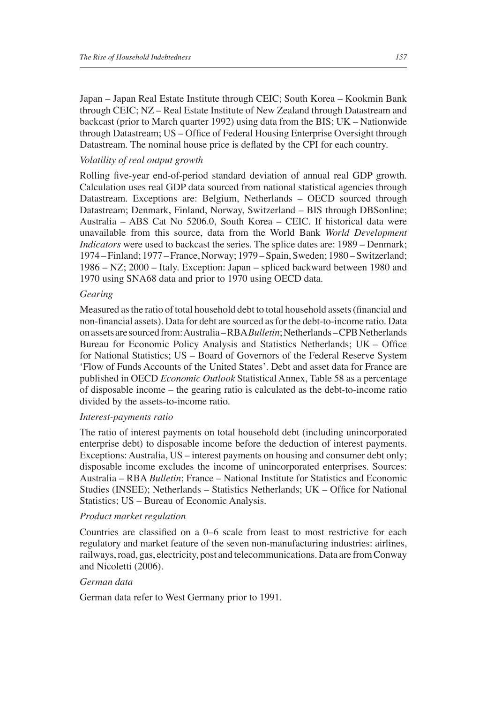Japan – Japan Real Estate Institute through CEIC; South Korea – Kookmin Bank through CEIC; NZ – Real Estate Institute of New Zealand through Datastream and backcast (prior to March quarter 1992) using data from the BIS; UK – Nationwide through Datastream; US - Office of Federal Housing Enterprise Oversight through Datastream. The nominal house price is deflated by the CPI for each country.

#### *Volatility of real output growth*

Rolling five-year end-of-period standard deviation of annual real GDP growth. Calculation uses real GDP data sourced from national statistical agencies through Datastream. Exceptions are: Belgium, Netherlands – OECD sourced through Datastream; Denmark, Finland, Norway, Switzerland – BIS through DBSonline; Australia – ABS Cat No 5206.0, South Korea – CEIC. If historical data were unavailable from this source, data from the World Bank *World Development Indicators* were used to backcast the series. The splice dates are: 1989 – Denmark; 1974 – Finland; 1977 – France, Norway; 1979 – Spain, Sweden; 1980 – Switzerland; 1986 – NZ; 2000 – Italy. Exception: Japan – spliced backward between 1980 and 1970 using SNA68 data and prior to 1970 using OECD data.

#### *Gearing*

Measured as the ratio of total household debt to total household assets (financial and non-fi nancial assets). Data for debt are sourced as for the debt-to-income ratio. Data on assets are sourced from: Australia – RBA *Bulletin*; Netherlands – CPB Netherlands Bureau for Economic Policy Analysis and Statistics Netherlands; UK – Office for National Statistics; US – Board of Governors of the Federal Reserve System 'Flow of Funds Accounts of the United States'. Debt and asset data for France are published in OECD *Economic Outlook* Statistical Annex, Table 58 as a percentage of disposable income – the gearing ratio is calculated as the debt-to-income ratio divided by the assets-to-income ratio.

#### *Interest-payments ratio*

The ratio of interest payments on total household debt (including unincorporated enterprise debt) to disposable income before the deduction of interest payments. Exceptions: Australia, US – interest payments on housing and consumer debt only; disposable income excludes the income of unincorporated enterprises. Sources: Australia – RBA *Bulletin*; France – National Institute for Statistics and Economic Studies (INSEE); Netherlands – Statistics Netherlands; UK – Office for National Statistics; US – Bureau of Economic Analysis.

#### *Product market regulation*

Countries are classified on a 0–6 scale from least to most restrictive for each regulatory and market feature of the seven non-manufacturing industries: airlines, railways, road, gas, electricity, post and telecommunications. Data are from Conway and Nicoletti (2006).

#### *German data*

German data refer to West Germany prior to 1991.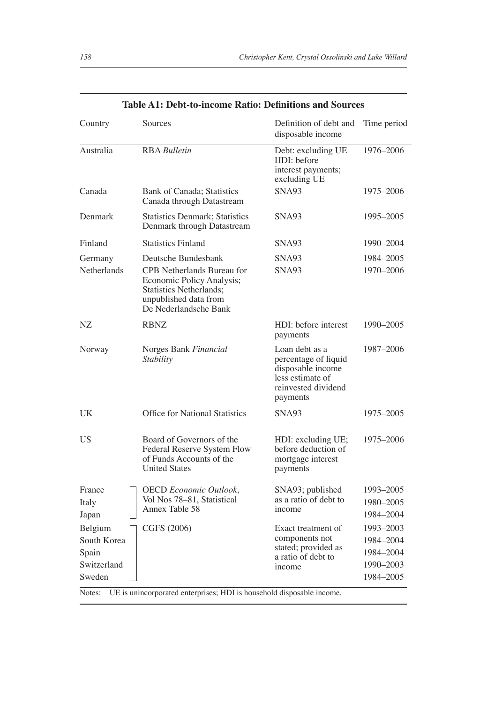| Country                                                            | Sources                                                                                                                                                     | Definition of debt and<br>disposable income                                                                        | Time period                                                   |
|--------------------------------------------------------------------|-------------------------------------------------------------------------------------------------------------------------------------------------------------|--------------------------------------------------------------------------------------------------------------------|---------------------------------------------------------------|
| Australia                                                          | <b>RBA</b> Bulletin                                                                                                                                         | Debt: excluding UE<br>HDI: before<br>interest payments;<br>excluding UE                                            | 1976-2006                                                     |
| Canada                                                             | <b>Bank of Canada</b> ; Statistics<br>Canada through Datastream                                                                                             | SNA93                                                                                                              | 1975-2006                                                     |
| Denmark                                                            | <b>Statistics Denmark: Statistics</b><br>Denmark through Datastream                                                                                         | SNA93                                                                                                              | 1995-2005                                                     |
| Finland                                                            | <b>Statistics Finland</b>                                                                                                                                   | SNA93                                                                                                              | 1990-2004                                                     |
| Germany<br><b>Netherlands</b>                                      | Deutsche Bundesbank<br>CPB Netherlands Bureau for<br>Economic Policy Analysis;<br>Statistics Netherlands;<br>unpublished data from<br>De Nederlandsche Bank | SNA93<br>SNA93                                                                                                     | 1984-2005<br>1970-2006                                        |
| NZ                                                                 | <b>RBNZ</b>                                                                                                                                                 | HDI: before interest<br>payments                                                                                   | 1990–2005                                                     |
| Norway                                                             | Norges Bank Financial<br>Stability                                                                                                                          | Loan debt as a<br>percentage of liquid<br>disposable income<br>less estimate of<br>reinvested dividend<br>payments | 1987-2006                                                     |
| UK                                                                 | Office for National Statistics                                                                                                                              | SNA93                                                                                                              | 1975-2005                                                     |
| US                                                                 | Board of Governors of the<br>Federal Reserve System Flow<br>of Funds Accounts of the<br><b>United States</b>                                                | HDI: excluding UE;<br>before deduction of<br>mortgage interest<br>payments                                         | 1975-2006                                                     |
| France<br>Italy<br>Japan                                           | <b>OECD</b> Economic Outlook,<br>Vol Nos 78-81, Statistical<br>Annex Table 58                                                                               | SNA93; published<br>as a ratio of debt to<br>income                                                                | 1993–2005<br>1980-2005<br>1984-2004                           |
| Belgium<br>South Korea<br>Spain<br>Switzerland<br>Sweden<br>Notes: | CGFS (2006)<br>UE is unincorporated enterprises; HDI is household disposable income.                                                                        | Exact treatment of<br>components not<br>stated; provided as<br>a ratio of debt to<br>income                        | 1993-2003<br>1984-2004<br>1984-2004<br>1990-2003<br>1984-2005 |

#### Table A1: Debt-to-income Ratio: Definitions and Sources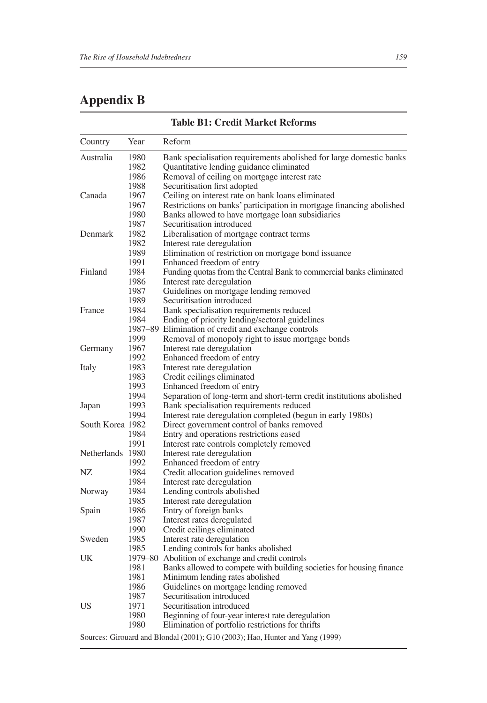## **Appendix B**

| Country          | Year | Reform                                                               |
|------------------|------|----------------------------------------------------------------------|
| Australia        | 1980 | Bank specialisation requirements abolished for large domestic banks  |
|                  | 1982 | Quantitative lending guidance eliminated                             |
|                  | 1986 | Removal of ceiling on mortgage interest rate                         |
|                  | 1988 | Securitisation first adopted                                         |
| Canada           | 1967 | Ceiling on interest rate on bank loans eliminated                    |
|                  | 1967 | Restrictions on banks' participation in mortgage financing abolished |
|                  | 1980 | Banks allowed to have mortgage loan subsidiaries                     |
|                  | 1987 | Securitisation introduced                                            |
| Denmark          | 1982 | Liberalisation of mortgage contract terms                            |
|                  | 1982 | Interest rate deregulation                                           |
|                  | 1989 | Elimination of restriction on mortgage bond issuance                 |
|                  | 1991 | Enhanced freedom of entry                                            |
| Finland          | 1984 | Funding quotas from the Central Bank to commercial banks eliminated  |
|                  | 1986 | Interest rate deregulation                                           |
|                  | 1987 | Guidelines on mortgage lending removed                               |
|                  | 1989 | Securitisation introduced                                            |
| France           | 1984 | Bank specialisation requirements reduced                             |
|                  | 1984 | Ending of priority lending/sectoral guidelines                       |
|                  |      | 1987–89 Elimination of credit and exchange controls                  |
|                  | 1999 | Removal of monopoly right to issue mortgage bonds                    |
| Germany          | 1967 | Interest rate deregulation                                           |
|                  | 1992 | Enhanced freedom of entry                                            |
| Italy            | 1983 | Interest rate deregulation                                           |
|                  | 1983 | Credit ceilings eliminated                                           |
|                  | 1993 | Enhanced freedom of entry                                            |
|                  | 1994 | Separation of long-term and short-term credit institutions abolished |
| Japan            | 1993 | Bank specialisation requirements reduced                             |
|                  | 1994 | Interest rate deregulation completed (begun in early 1980s)          |
| South Korea 1982 |      | Direct government control of banks removed                           |
|                  | 1984 | Entry and operations restrictions eased                              |
|                  | 1991 | Interest rate controls completely removed                            |
| Netherlands 1980 |      | Interest rate deregulation                                           |
|                  | 1992 | Enhanced freedom of entry                                            |
| NZ               | 1984 | Credit allocation guidelines removed                                 |
|                  | 1984 | Interest rate deregulation                                           |
| Norway           | 1984 | Lending controls abolished                                           |
|                  | 1985 | Interest rate deregulation                                           |
| Spain            | 1986 | Entry of foreign banks                                               |
|                  | 1987 | Interest rates deregulated                                           |
|                  | 1990 | Credit ceilings eliminated                                           |
| Sweden           | 1985 | Interest rate deregulation                                           |
|                  | 1985 | Lending controls for banks abolished                                 |
| UK               |      | 1979-80 Abolition of exchange and credit controls                    |
|                  | 1981 | Banks allowed to compete with building societies for housing finance |
|                  | 1981 | Minimum lending rates abolished                                      |
|                  | 1986 | Guidelines on mortgage lending removed                               |
|                  | 1987 | Securitisation introduced                                            |
| US               | 1971 | Securitisation introduced                                            |
|                  | 1980 | Beginning of four-year interest rate deregulation                    |
|                  | 1980 | Elimination of portfolio restrictions for thrifts                    |
|                  |      |                                                                      |

#### **Table B1: Credit Market Reforms**

Sources: Girouard and Blondal (2001); G10 (2003); Hao, Hunter and Yang (1999)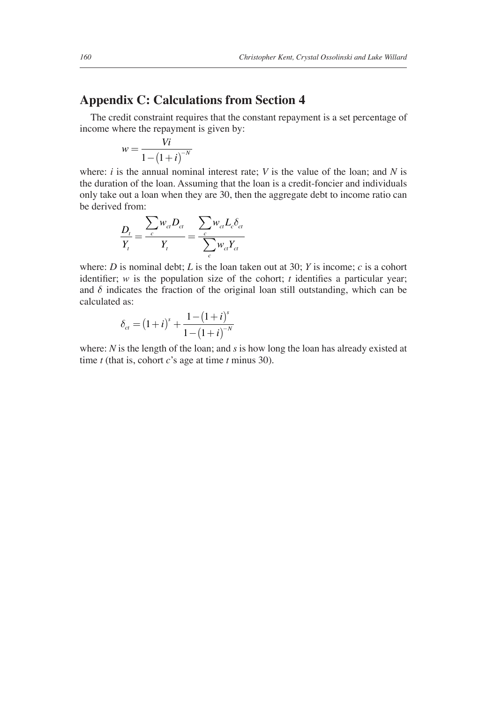## **Appendix C: Calculations from Section 4**

The credit constraint requires that the constant repayment is a set percentage of income where the repayment is given by:

$$
w = \frac{Vi}{1 - \left(1 + i\right)^{-N}}
$$

where:  $i$  is the annual nominal interest rate;  $V$  is the value of the loan; and  $N$  is the duration of the loan. Assuming that the loan is a credit-foncier and individuals only take out a loan when they are 30, then the aggregate debt to income ratio can be derived from:

$$
\frac{D_t}{Y_t} = \frac{\sum_c w_{ct} D_{ct}}{Y_t} = \frac{\sum_c w_{ct} L_c \delta_{ct}}{\sum_c w_{ct} Y_{ct}}
$$

where: *D* is nominal debt; *L* is the loan taken out at 30; *Y* is income; *c* is a cohort identifier;  $w$  is the population size of the cohort;  $t$  identifies a particular year; and  $\delta$  indicates the fraction of the original loan still outstanding, which can be calculated as:

$$
\delta_{ct} = (1+i)^s + \frac{1-(1+i)^s}{1-(1+i)^{-N}}
$$

where: *N* is the length of the loan; and *s* is how long the loan has already existed at time *t* (that is, cohort *c*'s age at time *t* minus 30).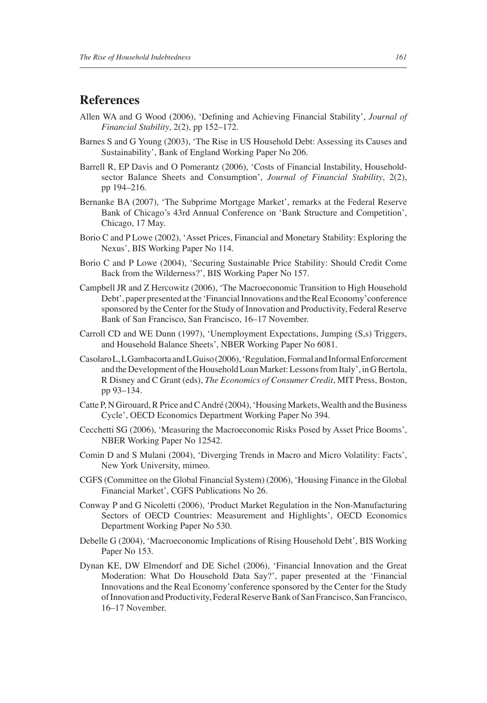## **References**

- Allen WA and G Wood (2006), 'Defining and Achieving Financial Stability', *Journal of Financial Stability*, 2(2), pp 152–172.
- Barnes S and G Young (2003), 'The Rise in US Household Debt: Assessing its Causes and Sustainability', Bank of England Working Paper No 206.
- Barrell R, EP Davis and O Pomerantz (2006), 'Costs of Financial Instability, Householdsector Balance Sheets and Consumption', *Journal of Financial Stability*, 2(2), pp 194–216.
- Bernanke BA (2007), 'The Subprime Mortgage Market', remarks at the Federal Reserve Bank of Chicago's 43rd Annual Conference on 'Bank Structure and Competition', Chicago, 17 May.
- Borio C and P Lowe (2002), 'Asset Prices, Financial and Monetary Stability: Exploring the Nexus', BIS Working Paper No 114.
- Borio C and P Lowe (2004), 'Securing Sustainable Price Stability: Should Credit Come Back from the Wilderness?', BIS Working Paper No 157.
- Campbell JR and Z Hercowitz (2006), 'The Macroeconomic Transition to High Household Debt', paper presented at the 'Financial Innovations and the Real Economy'conference sponsored by the Center for the Study of Innovation and Productivity, Federal Reserve Bank of San Francisco, San Francisco, 16–17 November.
- Carroll CD and WE Dunn (1997), 'Unemployment Expectations, Jumping (S,s) Triggers, and Household Balance Sheets', NBER Working Paper No 6081.
- Casolaro L, L Gambacorta and L Guiso (2006), 'Regulation, Formal and Informal Enforcement and the Development of the Household Loan Market: Lessons from Italy', in G Bertola, R Disney and C Grant (eds), *The Economics of Consumer Credit*, MIT Press, Boston, pp 93–134.
- Catte P, N Girouard, R Price and C André (2004), 'Housing Markets, Wealth and the Business Cycle', OECD Economics Department Working Paper No 394.
- Cecchetti SG (2006), 'Measuring the Macroeconomic Risks Posed by Asset Price Booms', NBER Working Paper No 12542.
- Comin D and S Mulani (2004), 'Diverging Trends in Macro and Micro Volatility: Facts', New York University, mimeo.
- CGFS (Committee on the Global Financial System) (2006), 'Housing Finance in the Global Financial Market', CGFS Publications No 26.
- Conway P and G Nicoletti (2006), 'Product Market Regulation in the Non-Manufacturing Sectors of OECD Countries: Measurement and Highlights', OECD Economics Department Working Paper No 530.
- Debelle G (2004), 'Macroeconomic Implications of Rising Household Debt', BIS Working Paper No 153.
- Dynan KE, DW Elmendorf and DE Sichel (2006), 'Financial Innovation and the Great Moderation: What Do Household Data Say?', paper presented at the 'Financial Innovations and the Real Economy'conference sponsored by the Center for the Study of Innovation and Productivity, Federal Reserve Bank of San Francisco, San Francisco, 16–17 November.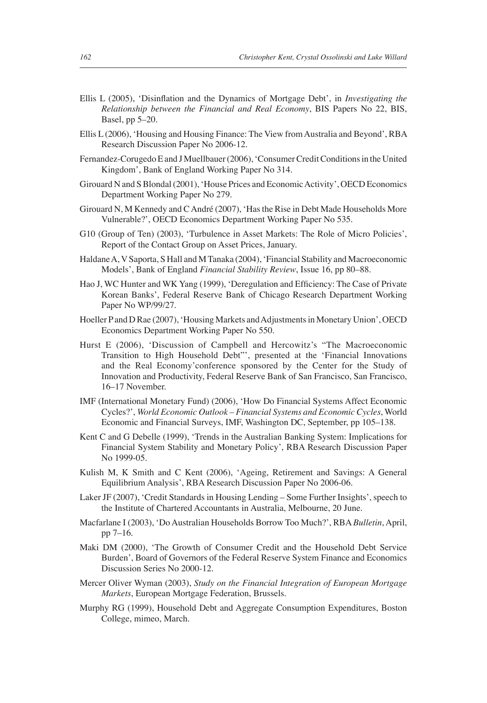- Ellis L (2005), 'Disinflation and the Dynamics of Mortgage Debt', in *Investigating the Relationship between the Financial and Real Economy*, BIS Papers No 22, BIS, Basel, pp 5–20.
- Ellis L (2006), 'Housing and Housing Finance: The View from Australia and Beyond', RBA Research Discussion Paper No 2006-12.
- Fernandez-Corugedo E and J Muellbauer (2006), 'Consumer Credit Conditions in the United Kingdom', Bank of England Working Paper No 314.
- Girouard N and S Blondal (2001), 'House Prices and Economic Activity', OECD Economics Department Working Paper No 279.
- Girouard N, M Kennedy and C André (2007), 'Has the Rise in Debt Made Households More Vulnerable?', OECD Economics Department Working Paper No 535.
- G10 (Group of Ten) (2003), 'Turbulence in Asset Markets: The Role of Micro Policies', Report of the Contact Group on Asset Prices, January.
- Haldane A, V Saporta, S Hall and M Tanaka (2004), 'Financial Stability and Macroeconomic Models', Bank of England *Financial Stability Review*, Issue 16, pp 80–88.
- Hao J, WC Hunter and WK Yang (1999), 'Deregulation and Efficiency: The Case of Private Korean Banks', Federal Reserve Bank of Chicago Research Department Working Paper No WP/99/27.
- Hoeller P and D Rae (2007), 'Housing Markets and Adjustments in Monetary Union', OECD Economics Department Working Paper No 550.
- Hurst E (2006), 'Discussion of Campbell and Hercowitz's "The Macroeconomic Transition to High Household Debt"', presented at the 'Financial Innovations and the Real Economy'conference sponsored by the Center for the Study of Innovation and Productivity, Federal Reserve Bank of San Francisco, San Francisco, 16–17 November.
- IMF (International Monetary Fund) (2006), 'How Do Financial Systems Affect Economic Cycles?', *World Economic Outlook – Financial Systems and Economic Cycles*, World Economic and Financial Surveys, IMF, Washington DC, September, pp 105–138.
- Kent C and G Debelle (1999), 'Trends in the Australian Banking System: Implications for Financial System Stability and Monetary Policy', RBA Research Discussion Paper No 1999-05.
- Kulish M, K Smith and C Kent (2006), 'Ageing, Retirement and Savings: A General Equilibrium Analysis', RBA Research Discussion Paper No 2006-06.
- Laker JF (2007), 'Credit Standards in Housing Lending Some Further Insights', speech to the Institute of Chartered Accountants in Australia, Melbourne, 20 June.
- Macfarlane I (2003), 'Do Australian Households Borrow Too Much?', RBA *Bulletin*, April, pp 7–16.
- Maki DM (2000), 'The Growth of Consumer Credit and the Household Debt Service Burden', Board of Governors of the Federal Reserve System Finance and Economics Discussion Series No 2000-12.
- Mercer Oliver Wyman (2003), *Study on the Financial Integration of European Mortgage Markets*, European Mortgage Federation, Brussels.
- Murphy RG (1999), Household Debt and Aggregate Consumption Expenditures, Boston College, mimeo, March.